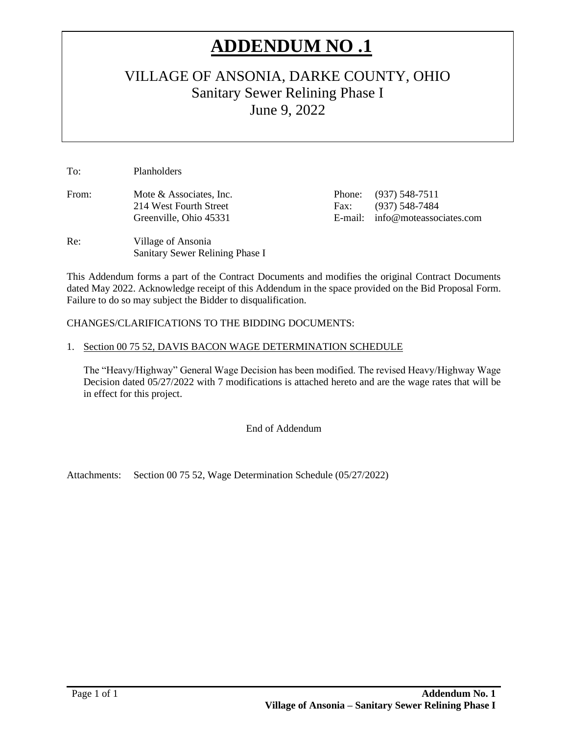# **ADDENDUM NO .1**

## VILLAGE OF ANSONIA, DARKE COUNTY, OHIO Sanitary Sewer Relining Phase I June 9, 2022

To: Planholders

From: Mote & Associates, Inc. Phone: (937) 548-7511 214 West Fourth Street Fax: (937) 548-7484

Greenville, Ohio 45331 E-mail: info@moteassociates.com

Re: Village of Ansonia Sanitary Sewer Relining Phase I

This Addendum forms a part of the Contract Documents and modifies the original Contract Documents dated May 2022. Acknowledge receipt of this Addendum in the space provided on the Bid Proposal Form. Failure to do so may subject the Bidder to disqualification.

## CHANGES/CLARIFICATIONS TO THE BIDDING DOCUMENTS:

## 1. Section 00 75 52, DAVIS BACON WAGE DETERMINATION SCHEDULE

The "Heavy/Highway" General Wage Decision has been modified. The revised Heavy/Highway Wage Decision dated 05/27/2022 with 7 modifications is attached hereto and are the wage rates that will be in effect for this project.

End of Addendum

Attachments: Section 00 75 52, Wage Determination Schedule (05/27/2022)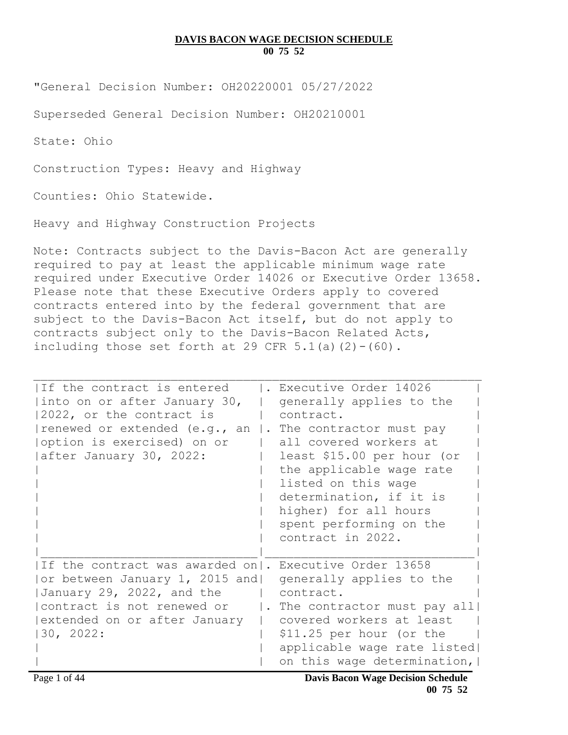## **DAVIS BACON WAGE DECISION SCHEDULE 00 75 52**

"General Decision Number: OH20220001 05/27/2022

Superseded General Decision Number: OH20210001

State: Ohio

Construction Types: Heavy and Highway

Counties: Ohio Statewide.

Heavy and Highway Construction Projects

Note: Contracts subject to the Davis-Bacon Act are generally required to pay at least the applicable minimum wage rate required under Executive Order 14026 or Executive Order 13658. Please note that these Executive Orders apply to covered contracts entered into by the federal government that are subject to the Davis-Bacon Act itself, but do not apply to contracts subject only to the Davis-Bacon Related Acts, including those set forth at 29 CFR  $5.1(a)(2)-(60)$ .

| If the contract is entered<br>into on or after January 30,<br>2022, or the contract is<br>renewed or extended $(e,q,$ , an $\vert$ . The contractor must pay<br>option is exercised) on or<br>after January 30, 2022: | Executive Order 14026<br>generally applies to the<br>contract.<br>all covered workers at<br>least \$15.00 per hour (or<br>the applicable wage rate<br>listed on this wage<br>determination, if it is<br>higher) for all hours<br>spent performing on the<br>contract in 2022. |
|-----------------------------------------------------------------------------------------------------------------------------------------------------------------------------------------------------------------------|-------------------------------------------------------------------------------------------------------------------------------------------------------------------------------------------------------------------------------------------------------------------------------|
| If the contract was awarded on . Executive Order 13658<br>or between January 1, 2015 and<br>January 29, 2022, and the<br>contract is not renewed or<br>extended on or after January<br>30, 2022:                      | generally applies to the<br>contract.<br>. The contractor must pay all <br>covered workers at least<br>\$11.25 per hour (or the<br>applicable wage rate listed<br>on this wage determination,                                                                                 |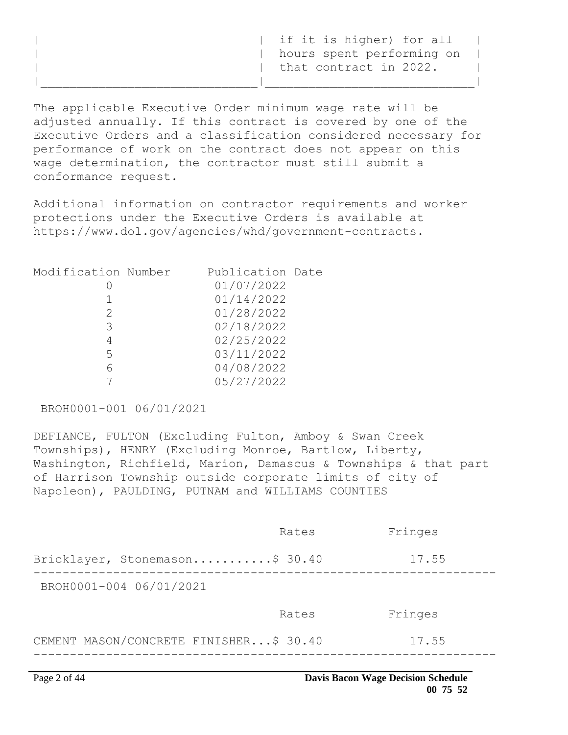| if it is higher) for all $\ $ |
|-------------------------------|
| hours spent performing on     |
| that contract in 2022.        |
|                               |

The applicable Executive Order minimum wage rate will be adjusted annually. If this contract is covered by one of the Executive Orders and a classification considered necessary for performance of work on the contract does not appear on this wage determination, the contractor must still submit a conformance request.

Additional information on contractor requirements and worker protections under the Executive Orders is available at https://www.dol.gov/agencies/whd/government-contracts.

| Modification Number | Publication Date |  |
|---------------------|------------------|--|
|                     | 01/07/2022       |  |
|                     | 01/14/2022       |  |
| 2                   | 01/28/2022       |  |
| 3                   | 02/18/2022       |  |
|                     | 02/25/2022       |  |
| 5                   | 03/11/2022       |  |
|                     | 04/08/2022       |  |
|                     | 05/27/2022       |  |

## BROH0001-001 06/01/2021

DEFIANCE, FULTON (Excluding Fulton, Amboy & Swan Creek Townships), HENRY (Excluding Monroe, Bartlow, Liberty, Washington, Richfield, Marion, Damascus & Townships & that part of Harrison Township outside corporate limits of city of Napoleon), PAULDING, PUTNAM and WILLIAMS COUNTIES

|                                        | Rates | Fringes |
|----------------------------------------|-------|---------|
| Bricklayer, Stonemason\$ 30.40         |       | 17.55   |
| BROH0001-004 06/01/2021                |       |         |
|                                        | Rates | Fringes |
| CEMENT MASON/CONCRETE FINISHER\$ 30.40 |       | 17.55   |
|                                        |       |         |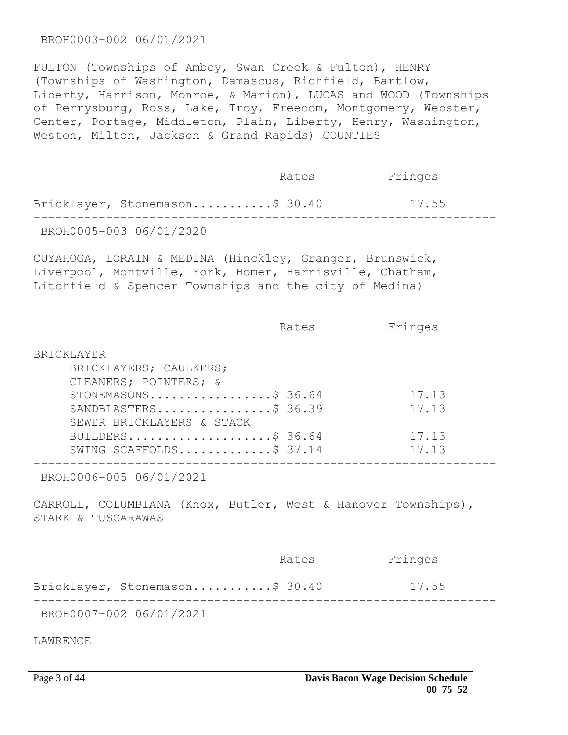BROH0003-002 06/01/2021

FULTON (Townships of Amboy, Swan Creek & Fulton), HENRY (Townships of Washington, Damascus, Richfield, Bartlow, Liberty, Harrison, Monroe, & Marion), LUCAS and WOOD (Townships of Perrysburg, Ross, Lake, Troy, Freedom, Montgomery, Webster, Center, Portage, Middleton, Plain, Liberty, Henry, Washington, Weston, Milton, Jackson & Grand Rapids) COUNTIES

Rates Fringes Bricklayer, Stonemason...........\$ 30.40 17.55 ---------------------------------------------------------------- BROH0005-003 06/01/2020 CUYAHOGA, LORAIN & MEDINA (Hinckley, Granger, Brunswick, Liverpool, Montville, York, Homer, Harrisville, Chatham, Litchfield & Spencer Townships and the city of Medina) Rates Fringes BRICKLAYER BRICKLAYERS; CAULKERS; CLEANERS; POINTERS; & STONEMASONS....................\$ 36.64 17.13 SANDBLASTERS...................\$ 36.39 17.13 SEWER BRICKLAYERS & STACK BUILDERS......................\$ 36.64 17.13 SWING SCAFFOLDS..............\$ 37.14 17.13 ---------------------------------------------------------------- BROH0006-005 06/01/2021 CARROLL, COLUMBIANA (Knox, Butler, West & Hanover Townships), STARK & TUSCARAWAS Rates Fringes Bricklayer, Stonemason............\$ 30.40 17.55 ----------------------------------------------------------------

BROH0007-002 06/01/2021

LAWRENCE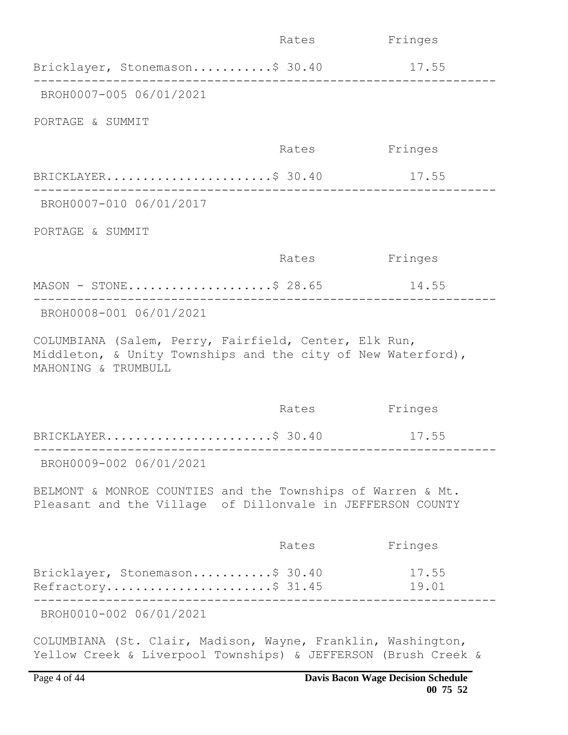|                                                                                                                                              | Rates | Fringes          |
|----------------------------------------------------------------------------------------------------------------------------------------------|-------|------------------|
| Bricklayer, Stonemason\$ 30.40 17.55                                                                                                         |       |                  |
| BROH0007-005 06/01/2021                                                                                                                      |       |                  |
| PORTAGE & SUMMIT                                                                                                                             |       |                  |
|                                                                                                                                              |       | Rates Fringes    |
| BRICKLAYER\$ 30.40 17.55                                                                                                                     |       |                  |
| BROH0007-010 06/01/2017                                                                                                                      |       |                  |
| PORTAGE & SUMMIT                                                                                                                             |       |                  |
|                                                                                                                                              | Rates | Fringes          |
| $MASON - STONE$ \$ 28.65                                                                                                                     |       | 14.55            |
| BROH0008-001 06/01/2021                                                                                                                      |       | ________________ |
| COLUMBIANA (Salem, Perry, Fairfield, Center, Elk Run,<br>Middleton, & Unity Townships and the city of New Waterford),<br>MAHONING & TRUMBULL |       |                  |
|                                                                                                                                              | Rates | Fringes          |
| BRICKLAYER\$ 30.40                                                                                                                           |       | 17.55            |
| BROH0009-002 06/01/2021                                                                                                                      |       |                  |
| BELMONT & MONROE COUNTIES and the Townships of Warren & Mt.<br>Pleasant and the Village of Dillonvale in JEFFERSON COUNTY                    |       |                  |
|                                                                                                                                              | Rates | Fringes          |
| Bricklayer, Stonemason\$ 30.40<br>Refractory\$ 31.45                                                                                         |       | 17.55<br>19.01   |
| BROH0010-002 06/01/2021                                                                                                                      |       |                  |
| COLUMBIANA (St. Clair, Madison, Wayne, Franklin, Washington,<br>Yellow Creek & Liverpool Townships) & JEFFERSON (Brush Creek &               |       |                  |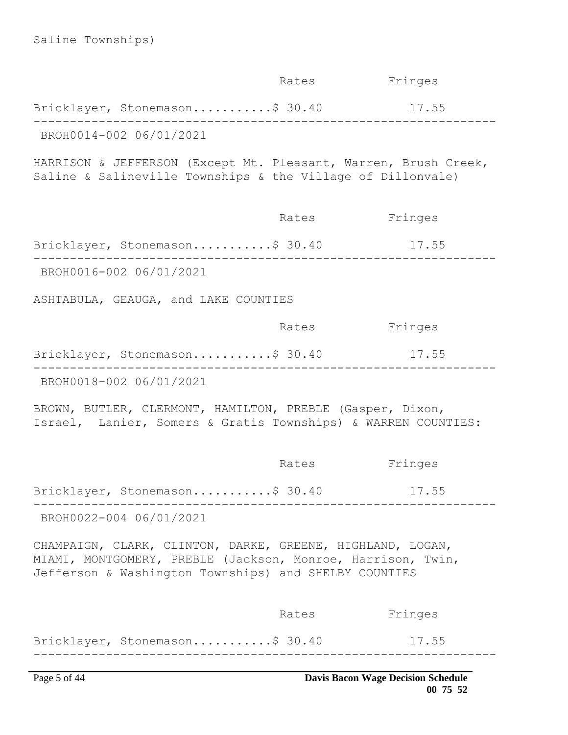|                                                                                                                                                                                    | Rates Fringes |         |
|------------------------------------------------------------------------------------------------------------------------------------------------------------------------------------|---------------|---------|
| Bricklayer, Stonemason\$ 30.40 17.55                                                                                                                                               |               |         |
| BROH0014-002 06/01/2021                                                                                                                                                            |               |         |
| HARRISON & JEFFERSON (Except Mt. Pleasant, Warren, Brush Creek,<br>Saline & Salineville Townships & the Village of Dillonvale)                                                     |               |         |
|                                                                                                                                                                                    | Rates         | Fringes |
| Bricklayer, Stonemason\$ 30.40 17.55                                                                                                                                               |               |         |
| BROH0016-002 06/01/2021                                                                                                                                                            |               |         |
| ASHTABULA, GEAUGA, and LAKE COUNTIES                                                                                                                                               |               |         |
|                                                                                                                                                                                    | Rates         | Fringes |
| Bricklayer, Stonemason\$ 30.40 17.55                                                                                                                                               |               |         |
| BROH0018-002 06/01/2021                                                                                                                                                            |               |         |
| BROWN, BUTLER, CLERMONT, HAMILTON, PREBLE (Gasper, Dixon,<br>Israel, Lanier, Somers & Gratis Townships) & WARREN COUNTIES:                                                         |               |         |
|                                                                                                                                                                                    | Rates         | Fringes |
| Bricklayer, Stonemason\$ 30.40<br>______________                                                                                                                                   |               | 17.55   |
| BROH0022-004 06/01/2021                                                                                                                                                            |               |         |
| CHAMPAIGN, CLARK, CLINTON, DARKE, GREENE, HIGHLAND, LOGAN,<br>MIAMI, MONTGOMERY, PREBLE (Jackson, Monroe, Harrison, Twin,<br>Jefferson & Washington Townships) and SHELBY COUNTIES |               |         |
|                                                                                                                                                                                    | Rates         | Fringes |
| Bricklayer, Stonemason\$ 30.40                                                                                                                                                     |               | 17.55   |

Saline Townships)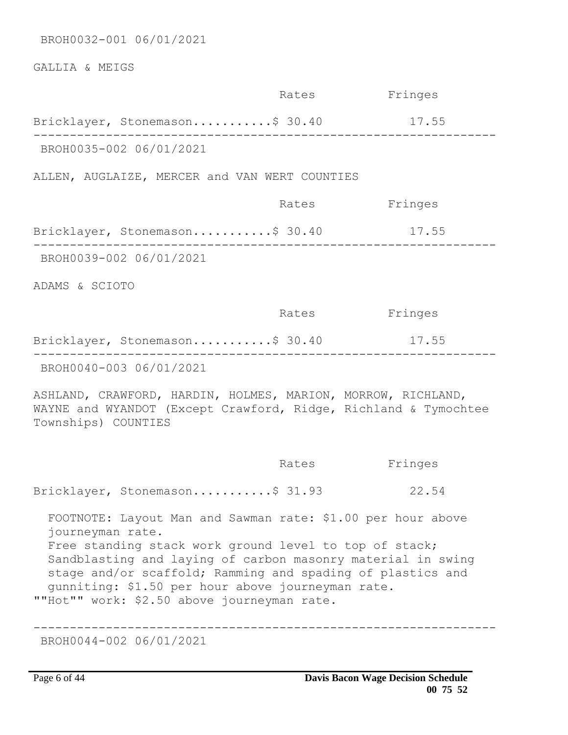BROH0032-001 06/01/2021

GALLIA & MEIGS

|                                                                                                                                                                                                                                                                                                                                                                            | Rates                       | Fringes |
|----------------------------------------------------------------------------------------------------------------------------------------------------------------------------------------------------------------------------------------------------------------------------------------------------------------------------------------------------------------------------|-----------------------------|---------|
| Bricklayer, Stonemason\$ 30.40 17.55                                                                                                                                                                                                                                                                                                                                       |                             |         |
| BROH0035-002 06/01/2021                                                                                                                                                                                                                                                                                                                                                    |                             |         |
| ALLEN, AUGLAIZE, MERCER and VAN WERT COUNTIES                                                                                                                                                                                                                                                                                                                              |                             |         |
|                                                                                                                                                                                                                                                                                                                                                                            | Rates                       | Fringes |
| Bricklayer, Stonemason\$ 30.40 17.55                                                                                                                                                                                                                                                                                                                                       |                             |         |
| BROH0039-002 06/01/2021                                                                                                                                                                                                                                                                                                                                                    |                             |         |
| ADAMS & SCIOTO                                                                                                                                                                                                                                                                                                                                                             |                             |         |
|                                                                                                                                                                                                                                                                                                                                                                            | Rates Fringes               |         |
| Bricklayer, Stonemason\$ 30.40                                                                                                                                                                                                                                                                                                                                             | ___________________________ | 17.55   |
| BROH0040-003 06/01/2021                                                                                                                                                                                                                                                                                                                                                    |                             |         |
| ASHLAND, CRAWFORD, HARDIN, HOLMES, MARION, MORROW, RICHLAND,<br>WAYNE and WYANDOT (Except Crawford, Ridge, Richland & Tymochtee<br>Townships) COUNTIES                                                                                                                                                                                                                     |                             |         |
|                                                                                                                                                                                                                                                                                                                                                                            | Rates                       | Fringes |
| Bricklayer, Stonemason\$ 31.93                                                                                                                                                                                                                                                                                                                                             |                             | 22.54   |
| FOOTNOTE: Layout Man and Sawman rate: \$1.00 per hour above<br>journeyman rate.<br>Free standing stack work ground level to top of stack;<br>Sandblasting and laying of carbon masonry material in swing<br>stage and/or scaffold; Ramming and spading of plastics and<br>qunniting: \$1.50 per hour above journeyman rate.<br>""Hot"" work: \$2.50 above journeyman rate. |                             |         |

BROH0044-002 06/01/2021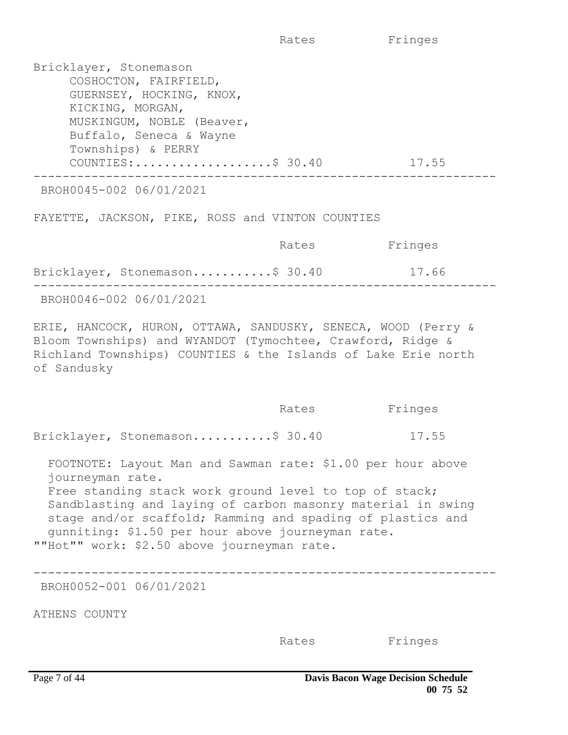Bricklayer, Stonemason COSHOCTON, FAIRFIELD, GUERNSEY, HOCKING, KNOX, KICKING, MORGAN, MUSKINGUM, NOBLE (Beaver, Buffalo, Seneca & Wayne Townships) & PERRY COUNTIES:......................\$ 30.40 17.55 ----------------------------------------------------------------

BROH0045-002 06/01/2021

FAYETTE, JACKSON, PIKE, ROSS and VINTON COUNTIES

|                                | Rates | Fringes |  |
|--------------------------------|-------|---------|--|
| Bricklayer, Stonemason\$ 30.40 |       | 17.66   |  |
|                                |       |         |  |

BROH0046-002 06/01/2021

ERIE, HANCOCK, HURON, OTTAWA, SANDUSKY, SENECA, WOOD (Perry & Bloom Townships) and WYANDOT (Tymochtee, Crawford, Ridge & Richland Townships) COUNTIES & the Islands of Lake Erie north of Sandusky

Rates Fringes

Bricklayer, Stonemason............\$ 30.40 17.55

 FOOTNOTE: Layout Man and Sawman rate: \$1.00 per hour above journeyman rate. Free standing stack work ground level to top of stack; Sandblasting and laying of carbon masonry material in swing stage and/or scaffold; Ramming and spading of plastics and gunniting: \$1.50 per hour above journeyman rate.

""Hot"" work: \$2.50 above journeyman rate.

----------------------------------------------------------------

BROH0052-001 06/01/2021

ATHENS COUNTY

Rates Fringes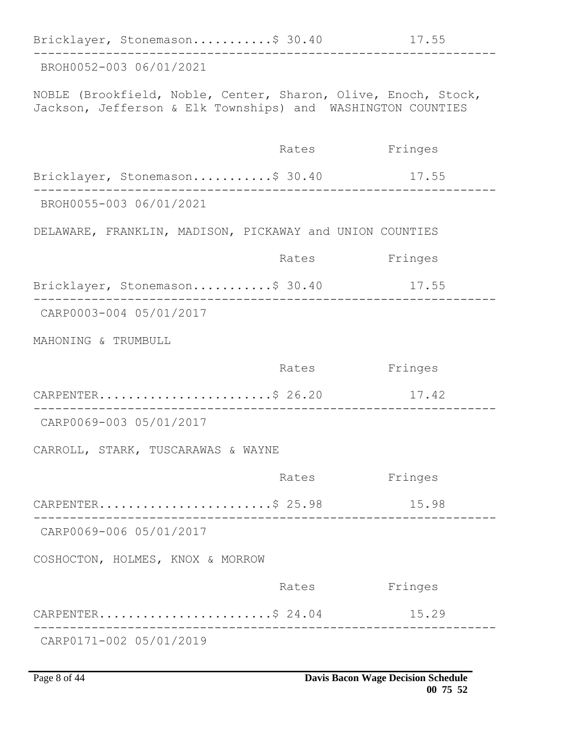| Bricklayer, Stonemason\$ 30.40                                                                                                |               | 17.55   |
|-------------------------------------------------------------------------------------------------------------------------------|---------------|---------|
| BROH0052-003 06/01/2021                                                                                                       |               |         |
| NOBLE (Brookfield, Noble, Center, Sharon, Olive, Enoch, Stock,<br>Jackson, Jefferson & Elk Townships) and WASHINGTON COUNTIES |               |         |
|                                                                                                                               | Rates         | Fringes |
| Bricklayer, Stonemason\$ 30.40 17.55                                                                                          |               |         |
| BROH0055-003 06/01/2021                                                                                                       |               |         |
| DELAWARE, FRANKLIN, MADISON, PICKAWAY and UNION COUNTIES                                                                      |               |         |
|                                                                                                                               | Rates Fringes |         |
| Bricklayer, Stonemason\$ 30.40 17.55                                                                                          |               |         |
| CARP0003-004 05/01/2017                                                                                                       |               |         |
| MAHONING & TRUMBULL                                                                                                           |               |         |
|                                                                                                                               | Rates Fringes |         |
| CARPENTER\$ 26.20                                                                                                             |               | 17.42   |
| CARP0069-003 05/01/2017                                                                                                       |               |         |
| CARROLL, STARK, TUSCARAWAS & WAYNE                                                                                            |               |         |
|                                                                                                                               | Rates         | Fringes |
| $\texttt{CARPENTER} \dots \dots \dots \dots \dots \dots \dots \dots \text{ }$ \$ 25.98                                        |               | 15.98   |
| CARP0069-006 05/01/2017                                                                                                       |               |         |
| COSHOCTON, HOLMES, KNOX & MORROW                                                                                              |               |         |
|                                                                                                                               | Rates         | Fringes |
| CARPENTER\$ 24.04                                                                                                             |               | 15.29   |
| CARP0171-002 05/01/2019                                                                                                       |               |         |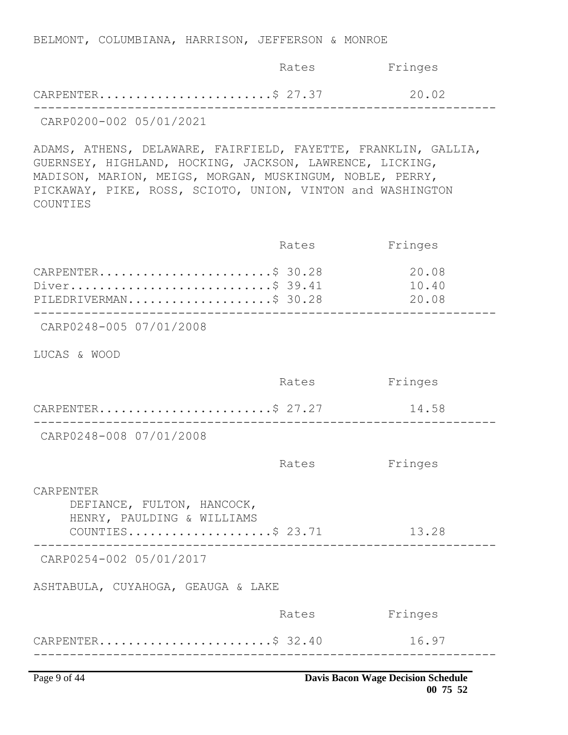BELMONT, COLUMBIANA, HARRISON, JEFFERSON & MONROE

|                                                                                                                                                                                                                                                                  | Rates | Fringes                 |
|------------------------------------------------------------------------------------------------------------------------------------------------------------------------------------------------------------------------------------------------------------------|-------|-------------------------|
| CARPENTER\$ 27.37                                                                                                                                                                                                                                                |       | 20.02                   |
| CARP0200-002 05/01/2021                                                                                                                                                                                                                                          |       |                         |
| ADAMS, ATHENS, DELAWARE, FAIRFIELD, FAYETTE, FRANKLIN, GALLIA,<br>GUERNSEY, HIGHLAND, HOCKING, JACKSON, LAWRENCE, LICKING,<br>MADISON, MARION, MEIGS, MORGAN, MUSKINGUM, NOBLE, PERRY,<br>PICKAWAY, PIKE, ROSS, SCIOTO, UNION, VINTON and WASHINGTON<br>COUNTIES |       |                         |
|                                                                                                                                                                                                                                                                  | Rates | Fringes                 |
| CARPENTER\$ 30.28<br>Diver\$ 39.41<br>PILEDRIVERMAN\$ 30.28                                                                                                                                                                                                      |       | 20.08<br>10.40<br>20.08 |
| CARP0248-005 07/01/2008                                                                                                                                                                                                                                          |       |                         |
| LUCAS & WOOD                                                                                                                                                                                                                                                     |       |                         |
|                                                                                                                                                                                                                                                                  | Rates | Fringes                 |
| $\texttt{CARPENTER} \dots \dots \dots \dots \dots \dots \dots \text{.} \S \quad \texttt{27.27}$                                                                                                                                                                  |       | 14.58                   |
| CARP0248-008 07/01/2008                                                                                                                                                                                                                                          |       |                         |
|                                                                                                                                                                                                                                                                  | Rates | Fringes                 |
| CARPENTER<br>DEFIANCE, FULTON, HANCOCK,<br>HENRY, PAULDING & WILLIAMS<br>COUNTIES\$ 23.71<br>. _ _ _ _ _ _ _ _ _ _ _ _                                                                                                                                           |       | 13.28                   |
| CARP0254-002 05/01/2017                                                                                                                                                                                                                                          |       |                         |
| ASHTABULA, CUYAHOGA, GEAUGA & LAKE                                                                                                                                                                                                                               |       |                         |
|                                                                                                                                                                                                                                                                  | Rates | Fringes                 |
| CARPENTER\$ 32.40                                                                                                                                                                                                                                                |       | 16.97                   |
|                                                                                                                                                                                                                                                                  |       |                         |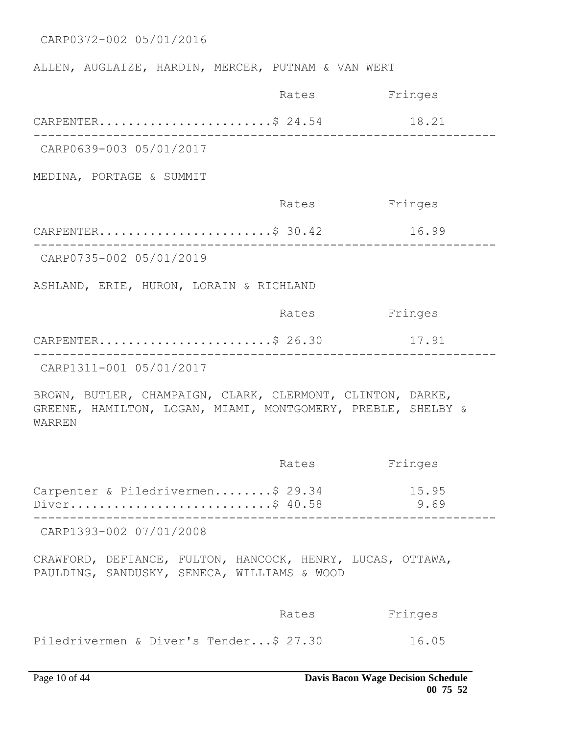CARP0372-002 05/01/2016

|                                                                                                                                      | Rates | Fringes       |
|--------------------------------------------------------------------------------------------------------------------------------------|-------|---------------|
| CARPENTER\$ 24.54 18.21<br>__________________________                                                                                |       |               |
| CARP0639-003 05/01/2017                                                                                                              |       |               |
| MEDINA, PORTAGE & SUMMIT                                                                                                             |       |               |
|                                                                                                                                      | Rates | Fringes       |
| CARPENTER\$ 30.42                                                                                                                    |       | 16.99         |
| CARP0735-002 05/01/2019                                                                                                              |       |               |
| ASHLAND, ERIE, HURON, LORAIN & RICHLAND                                                                                              |       |               |
|                                                                                                                                      | Rates | Fringes       |
| CARPENTER\$ 26.30                                                                                                                    |       | 17.91         |
| CARP1311-001 05/01/2017                                                                                                              |       |               |
| BROWN, BUTLER, CHAMPAIGN, CLARK, CLERMONT, CLINTON, DARKE,<br>GREENE, HAMILTON, LOGAN, MIAMI, MONTGOMERY, PREBLE, SHELBY &<br>WARREN |       |               |
|                                                                                                                                      | Rates | Fringes       |
| Carpenter & Piledrivermen\$ 29.34<br>Diver \$40.58                                                                                   |       | 15.95<br>9.69 |
| CARP1393-002 07/01/2008                                                                                                              |       |               |
| CRAWFORD, DEFIANCE, FULTON, HANCOCK, HENRY, LUCAS, OTTAWA,<br>PAULDING, SANDUSKY, SENECA, WILLIAMS & WOOD                            |       |               |
|                                                                                                                                      | Rates | Fringes       |
| Piledrivermen & Diver's Tender\$ 27.30                                                                                               |       | 16.05         |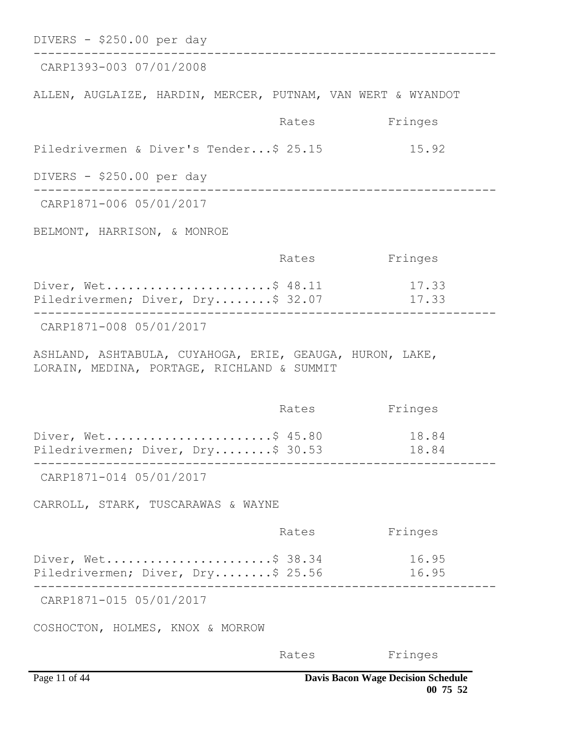| DIVERS - \$250.00 per day                                                                              |       |                |
|--------------------------------------------------------------------------------------------------------|-------|----------------|
| CARP1393-003 07/01/2008                                                                                |       |                |
| ALLEN, AUGLAIZE, HARDIN, MERCER, PUTNAM, VAN WERT & WYANDOT                                            |       |                |
|                                                                                                        |       | Rates Fringes  |
| Piledrivermen & Diver's Tender\$ 25.15                                                                 |       | 15.92          |
| DIVERS - \$250.00 per day                                                                              |       |                |
| CARP1871-006 05/01/2017                                                                                |       |                |
| BELMONT, HARRISON, & MONROE                                                                            |       |                |
|                                                                                                        |       | Rates Fringes  |
| Diver, Wet\$ 48.11<br>Piledrivermen; Diver, Dry\$ 32.07 17.33                                          |       | 17.33          |
| CARP1871-008 05/01/2017                                                                                |       |                |
| ASHLAND, ASHTABULA, CUYAHOGA, ERIE, GEAUGA, HURON, LAKE,<br>LORAIN, MEDINA, PORTAGE, RICHLAND & SUMMIT |       |                |
|                                                                                                        | Rates | Fringes        |
| Diver, Wet\$ 45.80<br>Piledrivermen; Diver, Dry\$ 30.53                                                |       | 18.84<br>18.84 |
| CARP1871-014 05/01/2017                                                                                |       |                |
| CARROLL, STARK, TUSCARAWAS & WAYNE                                                                     |       |                |
|                                                                                                        | Rates | Fringes        |
| Diver, Wet\$ 38.34<br>Piledrivermen; Diver, Dry\$ 25.56                                                |       | 16.95<br>16.95 |
| CARP1871-015 05/01/2017                                                                                |       |                |
| COSHOCTON, HOLMES, KNOX & MORROW                                                                       |       |                |
|                                                                                                        | Rates | Fringes        |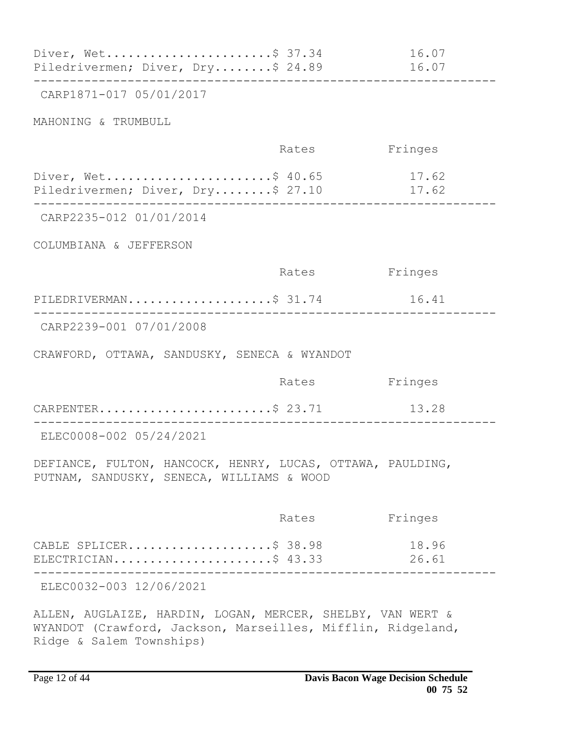Diver, Wet.........................\$ 37.34 16.07 Piledrivermen; Diver, Dry........\$ 24.89 16.07 ----------------------------------------------------------------

CARP1871-017 05/01/2017

MAHONING & TRUMBULL

|                                                           | Rates | Fringes        |  |
|-----------------------------------------------------------|-------|----------------|--|
| Diver, Wet\$ $40.65$<br>Piledrivermen; Diver, Dry\$ 27.10 |       | 17.62<br>17.62 |  |
| $\sqrt{27550005}$ 010 01/01/001/                          |       |                |  |

CARP2235-012 01/01/2014

COLUMBIANA & JEFFERSON

|                                                                                                         | Rates | Fringes |
|---------------------------------------------------------------------------------------------------------|-------|---------|
| PILEDRIVERMAN\$ 31.74<br>___________________________                                                    |       | 16.41   |
| CARP2239-001 07/01/2008                                                                                 |       |         |
| CRAWFORD, OTTAWA, SANDUSKY, SENECA & WYANDOT                                                            |       |         |
|                                                                                                         | Rates | Fringes |
| CARPENTER\$ 23.71                                                                                       |       | 13.28   |
| ELEC0008-002 05/24/2021                                                                                 |       |         |
| DEFIANCE, FULTON, HANCOCK, HENRY, LUCAS, OTTAWA, PAULDING,<br>PUTNAM, SANDUSKY, SENECA, WILLIAMS & WOOD |       |         |

|                                              | Rates | Fringes        |  |
|----------------------------------------------|-------|----------------|--|
| CABLE SPLICER\$ 38.98<br>ELECTRICIAN\$ 43.33 |       | 18.96<br>26.61 |  |
|                                              |       |                |  |

ELEC0032-003 12/06/2021

ALLEN, AUGLAIZE, HARDIN, LOGAN, MERCER, SHELBY, VAN WERT & WYANDOT (Crawford, Jackson, Marseilles, Mifflin, Ridgeland, Ridge & Salem Townships)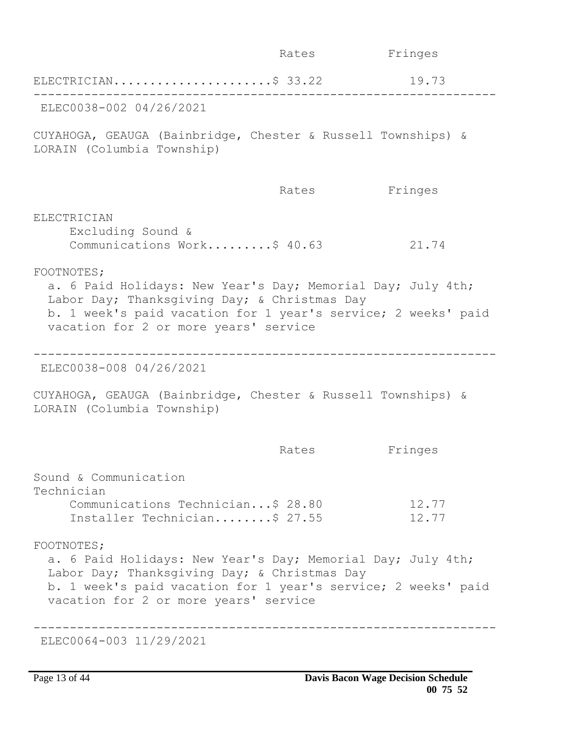|                                                                                                                                                                                                                                     | Rates | Fringes                             |
|-------------------------------------------------------------------------------------------------------------------------------------------------------------------------------------------------------------------------------------|-------|-------------------------------------|
| ELECTRICIAN\$ 33.22<br>_______________________                                                                                                                                                                                      |       | 19.73                               |
| ELEC0038-002 04/26/2021                                                                                                                                                                                                             |       |                                     |
| CUYAHOGA, GEAUGA (Bainbridge, Chester & Russell Townships) &<br>LORAIN (Columbia Township)                                                                                                                                          |       |                                     |
|                                                                                                                                                                                                                                     | Rates | Fringes                             |
| ELECTRICIAN<br>Excluding Sound &<br>Communications Work\$ 40.63                                                                                                                                                                     |       | 21.74                               |
| FOOTNOTES;<br>a. 6 Paid Holidays: New Year's Day; Memorial Day; July 4th;<br>Labor Day; Thanksqiving Day; & Christmas Day<br>b. 1 week's paid vacation for 1 year's service; 2 weeks' paid<br>vacation for 2 or more years' service |       |                                     |
| ELEC0038-008 04/26/2021                                                                                                                                                                                                             |       | ----------------------------------- |
| CUYAHOGA, GEAUGA (Bainbridge, Chester & Russell Townships) &<br>LORAIN (Columbia Township)                                                                                                                                          |       |                                     |
|                                                                                                                                                                                                                                     | Rates | Fringes                             |
| Sound & Communication<br>Technician<br>Communications Technician\$ 28.80<br>Installer Technician\$ 27.55                                                                                                                            |       | 12.77<br>12.77                      |
| FOOTNOTES;<br>a. 6 Paid Holidays: New Year's Day; Memorial Day; July 4th;<br>Labor Day; Thanksgiving Day; & Christmas Day<br>b. 1 week's paid vacation for 1 year's service; 2 weeks' paid<br>vacation for 2 or more years' service |       |                                     |
| ELEC0064-003 11/29/2021                                                                                                                                                                                                             |       |                                     |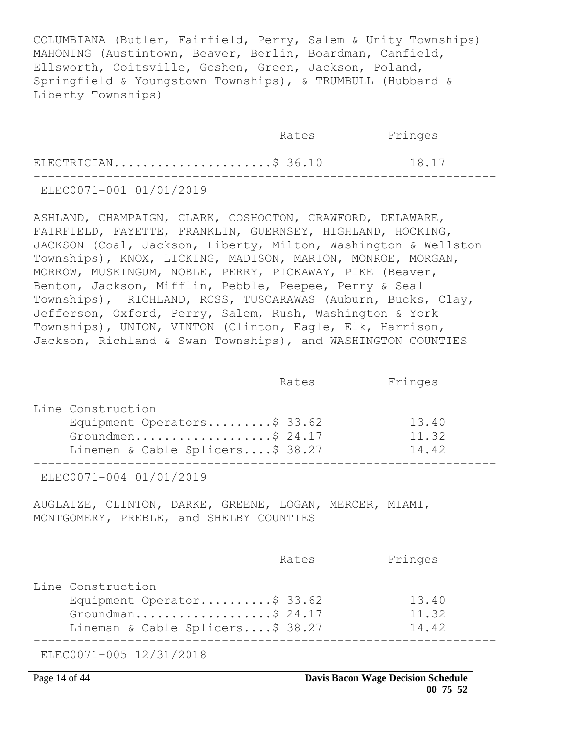COLUMBIANA (Butler, Fairfield, Perry, Salem & Unity Townships) MAHONING (Austintown, Beaver, Berlin, Boardman, Canfield, Ellsworth, Coitsville, Goshen, Green, Jackson, Poland, Springfield & Youngstown Townships), & TRUMBULL (Hubbard & Liberty Townships)

Rates Fringes ELECTRICIAN........................\$ 36.10 18.17 ---------------------------------------------------------------- ELEC0071-001 01/01/2019

ASHLAND, CHAMPAIGN, CLARK, COSHOCTON, CRAWFORD, DELAWARE, FAIRFIELD, FAYETTE, FRANKLIN, GUERNSEY, HIGHLAND, HOCKING, JACKSON (Coal, Jackson, Liberty, Milton, Washington & Wellston Townships), KNOX, LICKING, MADISON, MARION, MONROE, MORGAN, MORROW, MUSKINGUM, NOBLE, PERRY, PICKAWAY, PIKE (Beaver, Benton, Jackson, Mifflin, Pebble, Peepee, Perry & Seal Townships), RICHLAND, ROSS, TUSCARAWAS (Auburn, Bucks, Clay, Jefferson, Oxford, Perry, Salem, Rush, Washington & York Townships), UNION, VINTON (Clinton, Eagle, Elk, Harrison, Jackson, Richland & Swan Townships), and WASHINGTON COUNTIES

Rates Fringes Line Construction Equipment Operators.........\$ 33.62 13.40 Groundmen.......................\$ 24.17 11.32 Linemen & Cable Splicers....\$ 38.27 14.42 ---------------------------------------------------------------- ELEC0071-004 01/01/2019 AUGLAIZE, CLINTON, DARKE, GREENE, LOGAN, MERCER, MIAMI, MONTGOMERY, PREBLE, and SHELBY COUNTIES Rates Fringes Line Construction Equipment Operator..........\$ 33.62 13.40 Groundman......................\$ 24.17 11.32 Lineman & Cable Splicers....\$ 38.27 14.42  $-$ ELEC0071-005 12/31/2018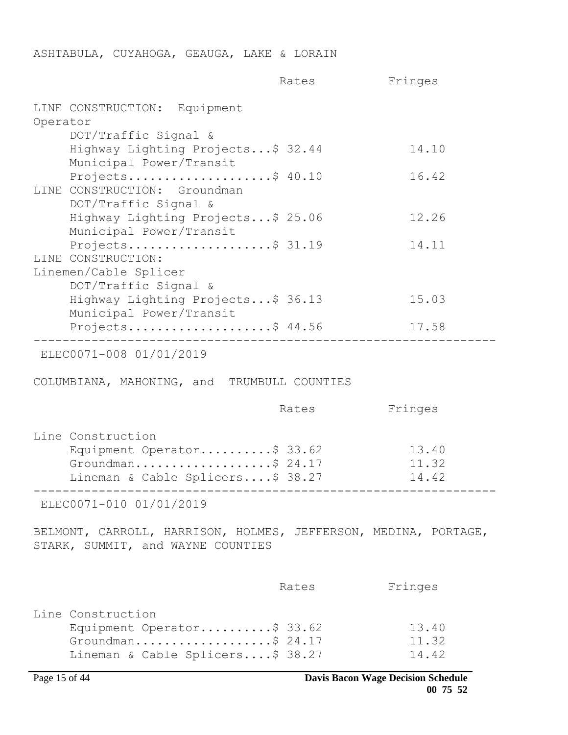ASHTABULA, CUYAHOGA, GEAUGA, LAKE & LORAIN

|          |                                                 |                                                                                     | Rates | Fringes                 |  |
|----------|-------------------------------------------------|-------------------------------------------------------------------------------------|-------|-------------------------|--|
| Operator | LINE CONSTRUCTION: Equipment                    |                                                                                     |       |                         |  |
|          | DOT/Traffic Signal &<br>Municipal Power/Transit | Highway Lighting Projects\$ 32.44                                                   |       | 14.10                   |  |
|          | LINE CONSTRUCTION: Groundman                    | Projects\$ $40.10$                                                                  |       | 16.42                   |  |
|          | DOT/Traffic Signal &<br>Municipal Power/Transit | Highway Lighting Projects\$ 25.06                                                   |       | 12.26                   |  |
|          | LINE CONSTRUCTION:                              | $Projects$ \$ 31.19                                                                 |       | 14.11                   |  |
|          | Linemen/Cable Splicer<br>DOT/Traffic Signal &   |                                                                                     |       |                         |  |
|          | Municipal Power/Transit                         | Highway Lighting Projects\$ 36.13                                                   |       | 15.03                   |  |
|          |                                                 | Projects\$ $44.56$                                                                  |       | 17.58                   |  |
|          | ELEC0071-008 01/01/2019                         |                                                                                     |       |                         |  |
|          |                                                 | COLUMBIANA, MAHONING, and TRUMBULL COUNTIES                                         |       |                         |  |
|          |                                                 |                                                                                     | Rates | Fringes                 |  |
|          | Line Construction                               | Equipment Operator\$ 33.62<br>Groundman\$ 24.17<br>Lineman & Cable Splicers\$ 38.27 |       | 13.40<br>11.32<br>14.42 |  |
|          | ELEC0071-010 01/01/2019                         |                                                                                     |       |                         |  |
|          | STARK, SUMMIT, and WAYNE COUNTIES               | BELMONT, CARROLL, HARRISON, HOLMES, JEFFERSON, MEDINA, PORTAGE,                     |       |                         |  |
|          |                                                 |                                                                                     | Rates | Fringes                 |  |
|          | Line Construction                               | Equipment Operator\$ 33.62<br>Groundman\$ 24.17<br>Lineman & Cable Splicers\$ 38.27 |       | 13.40<br>11.32<br>14.42 |  |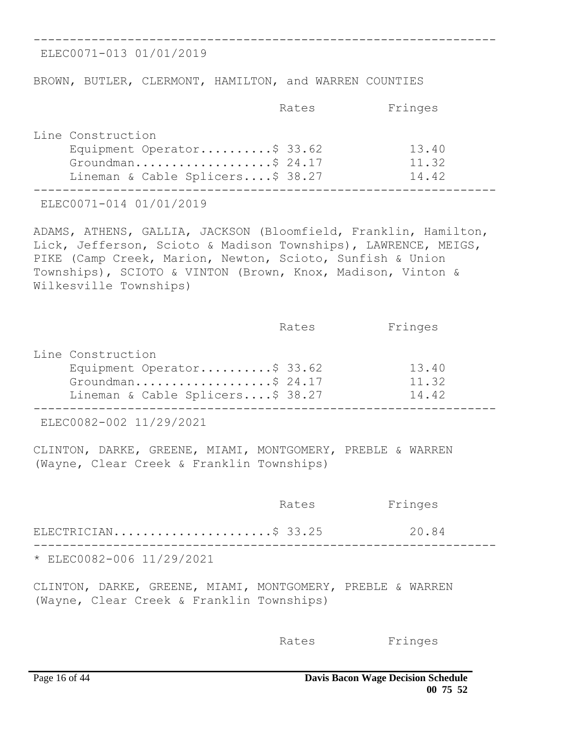ELEC0071-013 01/01/2019

BROWN, BUTLER, CLERMONT, HAMILTON, and WARREN COUNTIES

----------------------------------------------------------------

|                                                                                                                                                                                                                                                                                         | Rates | Fringes                 |
|-----------------------------------------------------------------------------------------------------------------------------------------------------------------------------------------------------------------------------------------------------------------------------------------|-------|-------------------------|
| Line Construction<br>Equipment Operator\$ 33.62<br>Groundman\$ 24.17<br>Lineman & Cable Splicers\$ 38.27                                                                                                                                                                                |       | 13.40<br>11.32<br>14.42 |
| ELEC0071-014 01/01/2019                                                                                                                                                                                                                                                                 |       |                         |
| ADAMS, ATHENS, GALLIA, JACKSON (Bloomfield, Franklin, Hamilton,<br>Lick, Jefferson, Scioto & Madison Townships), LAWRENCE, MEIGS,<br>PIKE (Camp Creek, Marion, Newton, Scioto, Sunfish & Union<br>Townships), SCIOTO & VINTON (Brown, Knox, Madison, Vinton &<br>Wilkesville Townships) |       |                         |
|                                                                                                                                                                                                                                                                                         | Rates | Fringes                 |
| Line Construction<br>Equipment Operator\$ 33.62<br>Groundman\$ 24.17<br>Lineman & Cable Splicers\$ 38.27                                                                                                                                                                                |       | 13.40<br>11.32<br>14.42 |
| ELEC0082-002 11/29/2021                                                                                                                                                                                                                                                                 |       |                         |
| CLINTON, DARKE, GREENE, MIAMI, MONTGOMERY, PREBLE & WARREN<br>(Wayne, Clear Creek & Franklin Townships)                                                                                                                                                                                 |       |                         |
|                                                                                                                                                                                                                                                                                         | Rates | Fringes                 |
| $\texttt{ELECTRICIAN} \dots \dots \dots \dots \dots \dots \dots \text{S}$ 33.25                                                                                                                                                                                                         |       | 20.84                   |
| * ELEC0082-006 11/29/2021                                                                                                                                                                                                                                                               |       |                         |
| CLINTON, DARKE, GREENE, MIAMI, MONTGOMERY, PREBLE & WARREN<br>(Wayne, Clear Creek & Franklin Townships)                                                                                                                                                                                 |       |                         |
|                                                                                                                                                                                                                                                                                         | Rates | Fringes                 |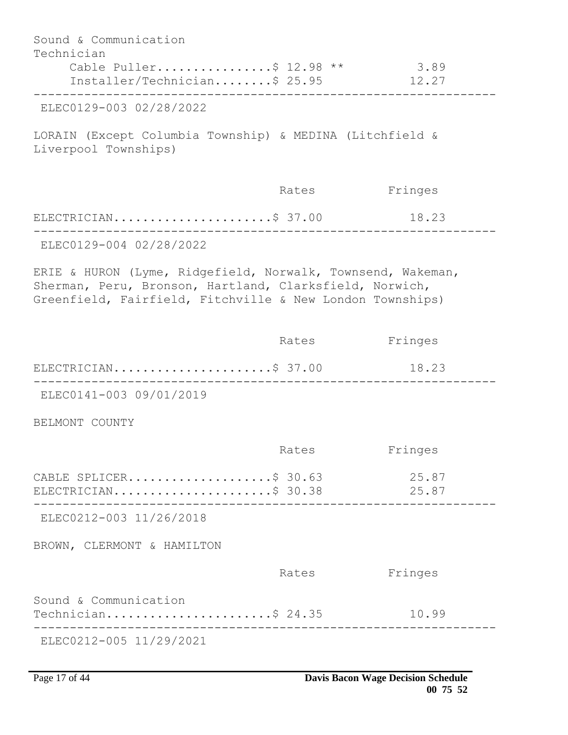| Sound & Communication<br>Technician                                                                                                                                                 |       |                |
|-------------------------------------------------------------------------------------------------------------------------------------------------------------------------------------|-------|----------------|
| Cable Puller\$ 12.98 **<br>Installer/Technician\$ 25.95                                                                                                                             |       | 3.89<br>12.27  |
| ELEC0129-003 02/28/2022                                                                                                                                                             |       |                |
| LORAIN (Except Columbia Township) & MEDINA (Litchfield &<br>Liverpool Townships)                                                                                                    |       |                |
|                                                                                                                                                                                     | Rates | Fringes        |
| $\texttt{ELECTRICIAN} \dots \dots \dots \dots \dots \dots \dots \texttt{S}$ 37.00                                                                                                   |       | 18.23          |
| ELEC0129-004 02/28/2022                                                                                                                                                             |       |                |
| ERIE & HURON (Lyme, Ridgefield, Norwalk, Townsend, Wakeman,<br>Sherman, Peru, Bronson, Hartland, Clarksfield, Norwich,<br>Greenfield, Fairfield, Fitchville & New London Townships) |       |                |
|                                                                                                                                                                                     | Rates | Fringes        |
| ELECTRICIAN\$ 37.00                                                                                                                                                                 |       | 18.23          |
| ELEC0141-003 09/01/2019                                                                                                                                                             |       |                |
| BELMONT COUNTY                                                                                                                                                                      |       |                |
|                                                                                                                                                                                     | Rates | Fringes        |
| CABLE SPLICER\$ 30.63<br>ELECTRICIAN\$ 30.38                                                                                                                                        |       | 25.87<br>25.87 |
| ELEC0212-003 11/26/2018                                                                                                                                                             |       |                |
| BROWN, CLERMONT & HAMILTON                                                                                                                                                          |       |                |
|                                                                                                                                                                                     | Rates | Fringes        |
| Sound & Communication<br>Technician\$ 24.35<br>. _ _ _ _ _ _ _ _ _ _                                                                                                                |       | 10.99          |
| ELEC0212-005 11/29/2021                                                                                                                                                             |       |                |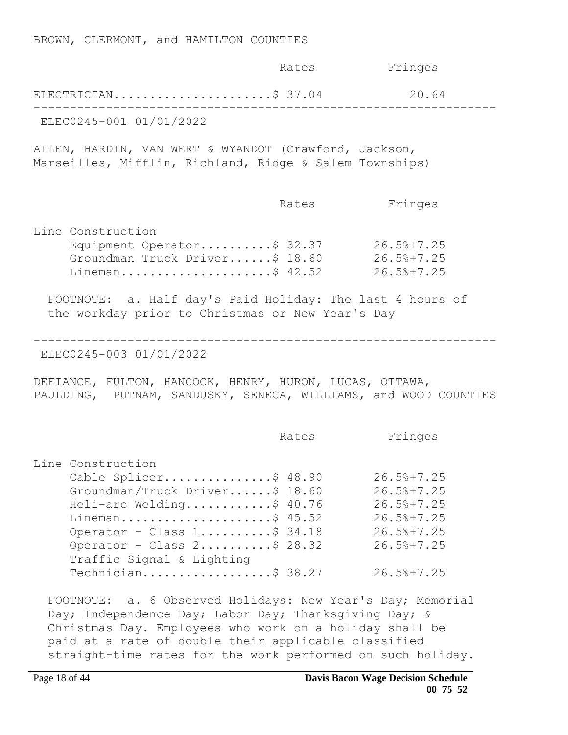|                                                                                                                                                                                                                                                                                                       | Rates | Fringes                                                                                                                |
|-------------------------------------------------------------------------------------------------------------------------------------------------------------------------------------------------------------------------------------------------------------------------------------------------------|-------|------------------------------------------------------------------------------------------------------------------------|
| ELECTRICIAN\$ 37.04 20.64                                                                                                                                                                                                                                                                             |       |                                                                                                                        |
| ELEC0245-001 01/01/2022                                                                                                                                                                                                                                                                               |       |                                                                                                                        |
| ALLEN, HARDIN, VAN WERT & WYANDOT (Crawford, Jackson,<br>Marseilles, Mifflin, Richland, Ridge & Salem Townships)                                                                                                                                                                                      |       |                                                                                                                        |
|                                                                                                                                                                                                                                                                                                       |       | Rates Fringes                                                                                                          |
| Line Construction<br>Equipment Operator\$ 32.37 26.5%+7.25<br>Groundman Truck Driver\$ 18.60 26.5%+7.25<br>Lineman\$ 42.52 26.5%+7.25                                                                                                                                                                 |       |                                                                                                                        |
| FOOTNOTE: a. Half day's Paid Holiday: The last 4 hours of<br>the workday prior to Christmas or New Year's Day                                                                                                                                                                                         |       |                                                                                                                        |
| ELEC0245-003 01/01/2022                                                                                                                                                                                                                                                                               |       | -------------------------------                                                                                        |
| DEFIANCE, FULTON, HANCOCK, HENRY, HURON, LUCAS, OTTAWA,<br>PAULDING, PUTNAM, SANDUSKY, SENECA, WILLIAMS, and WOOD COUNTIES                                                                                                                                                                            |       |                                                                                                                        |
|                                                                                                                                                                                                                                                                                                       | Rates | Fringes                                                                                                                |
| Line Construction<br>Cable Splicer\$ 48.90<br>Groundman/Truck Driver\$ 18.60<br>Heli-arc Welding\$ 40.76<br>Lineman\$ 45.52<br>Operator - Class $1$ \$ 34.18<br>Operator - Class $2 \ldots \ldots \ldots$ \$ 28.32<br>Traffic Signal & Lighting<br>$Technician$ \$ 38.27                              |       | $26.58 + 7.25$<br>$26.5% + 7.25$<br>$26.5% + 7.25$<br>26.5%+7.25<br>$26.5% + 7.25$<br>$26.5% + 7.25$<br>$26.5% + 7.25$ |
| FOOTNOTE: a. 6 Observed Holidays: New Year's Day; Memorial<br>Day; Independence Day; Labor Day; Thanksgiving Day; &<br>Christmas Day. Employees who work on a holiday shall be<br>paid at a rate of double their applicable classified<br>straight-time rates for the work performed on such holiday. |       |                                                                                                                        |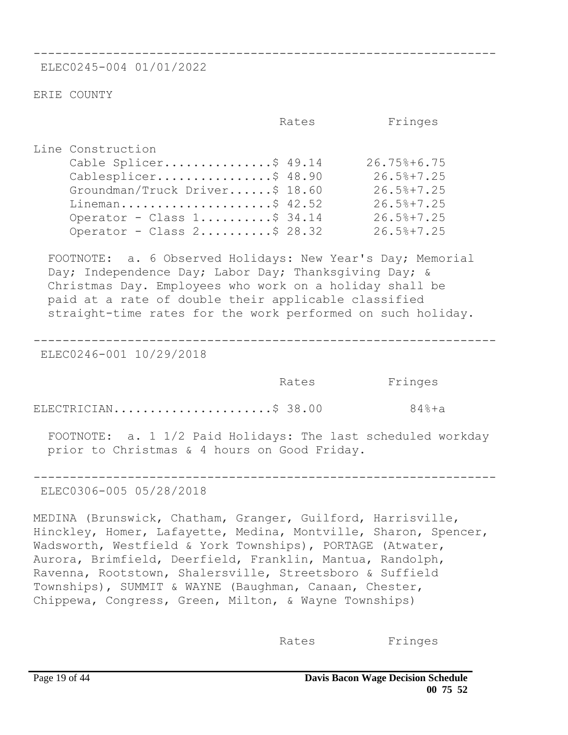---------------------------------------------------------------- ELEC0245-004 01/01/2022

ERIE COUNTY

 Rates Fringes Line Construction Cable Splicer................\$ 49.14 26.75%+6.75 Cablesplicer................\$ 48.90 26.5%+7.25 Groundman/Truck Driver......\$ 18.60 26.5%+7.25 Lineman........................\$ 42.52 26.5%+7.25 Operator - Class 1..........\$ 34.14 26.5%+7.25 Operator - Class 2..........\$ 28.32 26.5%+7.25 FOOTNOTE: a. 6 Observed Holidays: New Year's Day; Memorial Day; Independence Day; Labor Day; Thanksgiving Day; & Christmas Day. Employees who work on a holiday shall be paid at a rate of double their applicable classified straight-time rates for the work performed on such holiday. ---------------------------------------------------------------- ELEC0246-001 10/29/2018

Rates Fringes

ELECTRICIAN.........................\$ 38.00 84%+a

 FOOTNOTE: a. 1 1/2 Paid Holidays: The last scheduled workday prior to Christmas & 4 hours on Good Friday.

---------------------------------------------------------------- ELEC0306-005 05/28/2018

MEDINA (Brunswick, Chatham, Granger, Guilford, Harrisville, Hinckley, Homer, Lafayette, Medina, Montville, Sharon, Spencer, Wadsworth, Westfield & York Townships), PORTAGE (Atwater, Aurora, Brimfield, Deerfield, Franklin, Mantua, Randolph, Ravenna, Rootstown, Shalersville, Streetsboro & Suffield Townships), SUMMIT & WAYNE (Baughman, Canaan, Chester, Chippewa, Congress, Green, Milton, & Wayne Townships)

Rates Fringes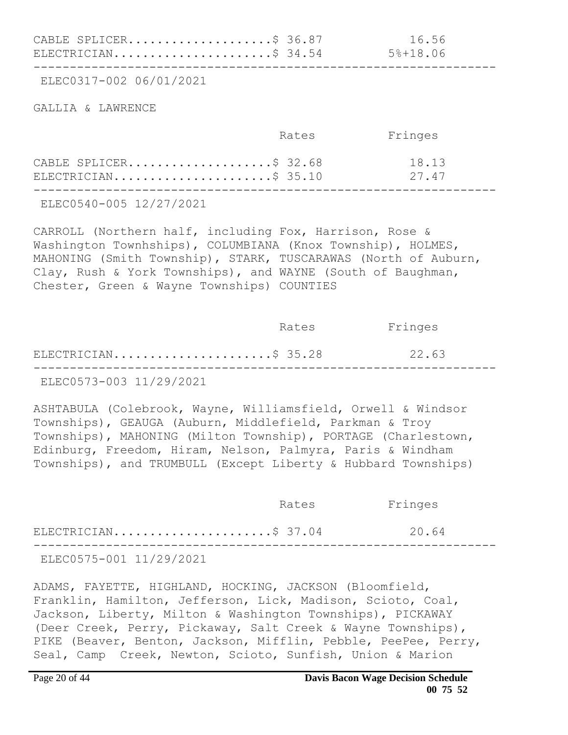CABLE SPLICER......................\$ 36.87 16.56

ELECTRICIAN......................\$ 34.54 5%+18.06

ELEC0317-002 06/01/2021

GALLIA & LAWRENCE

|                                              | Rates | Fringes        |  |
|----------------------------------------------|-------|----------------|--|
| CABLE SPLICER\$ 32.68<br>ELECTRICIAN\$ 35.10 |       | 18.13<br>27.47 |  |
|                                              |       |                |  |

----------------------------------------------------------------

ELEC0540-005 12/27/2021

CARROLL (Northern half, including Fox, Harrison, Rose & Washington Townhships), COLUMBIANA (Knox Township), HOLMES, MAHONING (Smith Township), STARK, TUSCARAWAS (North of Auburn, Clay, Rush & York Townships), and WAYNE (South of Baughman, Chester, Green & Wayne Townships) COUNTIES

 Rates Fringes ELECTRICIAN........................\$ 35.28 22.63 ---------------------------------------------------------------- ELEC0573-003 11/29/2021

ASHTABULA (Colebrook, Wayne, Williamsfield, Orwell & Windsor Townships), GEAUGA (Auburn, Middlefield, Parkman & Troy Townships), MAHONING (Milton Township), PORTAGE (Charlestown, Edinburg, Freedom, Hiram, Nelson, Palmyra, Paris & Windham Townships), and TRUMBULL (Except Liberty & Hubbard Townships)

 Rates Fringes ELECTRICIAN........................\$ 37.04 20.64 ---------------------------------------------------------------- ELEC0575-001 11/29/2021

ADAMS, FAYETTE, HIGHLAND, HOCKING, JACKSON (Bloomfield, Franklin, Hamilton, Jefferson, Lick, Madison, Scioto, Coal, Jackson, Liberty, Milton & Washington Townships), PICKAWAY (Deer Creek, Perry, Pickaway, Salt Creek & Wayne Townships), PIKE (Beaver, Benton, Jackson, Mifflin, Pebble, PeePee, Perry, Seal, Camp Creek, Newton, Scioto, Sunfish, Union & Marion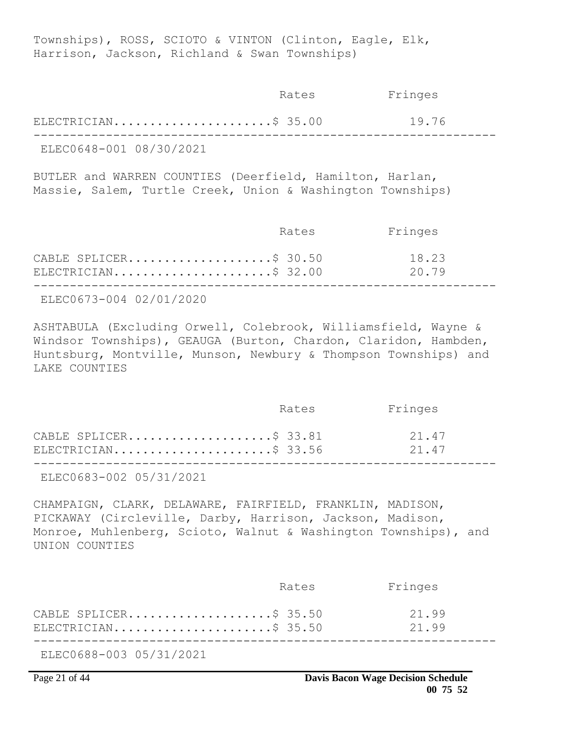Townships), ROSS, SCIOTO & VINTON (Clinton, Eagle, Elk, Harrison, Jackson, Richland & Swan Townships)

|                                                                                                                                                                                                                       | Rates | Fringes        |
|-----------------------------------------------------------------------------------------------------------------------------------------------------------------------------------------------------------------------|-------|----------------|
| ELECTRICIAN\$ 35.00                                                                                                                                                                                                   |       | 19.76          |
| ELEC0648-001 08/30/2021                                                                                                                                                                                               |       |                |
| BUTLER and WARREN COUNTIES (Deerfield, Hamilton, Harlan,<br>Massie, Salem, Turtle Creek, Union & Washington Townships)                                                                                                |       |                |
|                                                                                                                                                                                                                       | Rates | Fringes        |
| CABLE SPLICER\$ 30.50<br>ELECTRICIAN\$ 32.00                                                                                                                                                                          |       | 18.23<br>20.79 |
| ELEC0673-004 02/01/2020                                                                                                                                                                                               |       |                |
| ASHTABULA (Excluding Orwell, Colebrook, Williamsfield, Wayne &<br>Windsor Townships), GEAUGA (Burton, Chardon, Claridon, Hambden,<br>Huntsburg, Montville, Munson, Newbury & Thompson Townships) and<br>LAKE COUNTIES |       |                |
|                                                                                                                                                                                                                       | Rates | Fringes        |
| CABLE SPLICER\$ 33.81<br>ELECTRICIAN\$ 33.56                                                                                                                                                                          |       | 21.47<br>21.47 |
| ELEC0683-002 05/31/2021                                                                                                                                                                                               |       |                |
| CHAMPAIGN, CLARK, DELAWARE, FAIRFIELD, FRANKLIN, MADISON,<br>PICKAWAY (Circleville, Darby, Harrison, Jackson, Madison,<br>Monroe, Muhlenberg, Scioto, Walnut & Washington Townships), and<br>UNION COUNTIES           |       |                |
|                                                                                                                                                                                                                       | Rates | Fringes        |
| CABLE SPLICER\$ 35.50                                                                                                                                                                                                 |       | 21.99          |

ELECTRICIAN.......................\$ 35.50 21.99 ----------------------------------------------------------------

ELEC0688-003 05/31/2021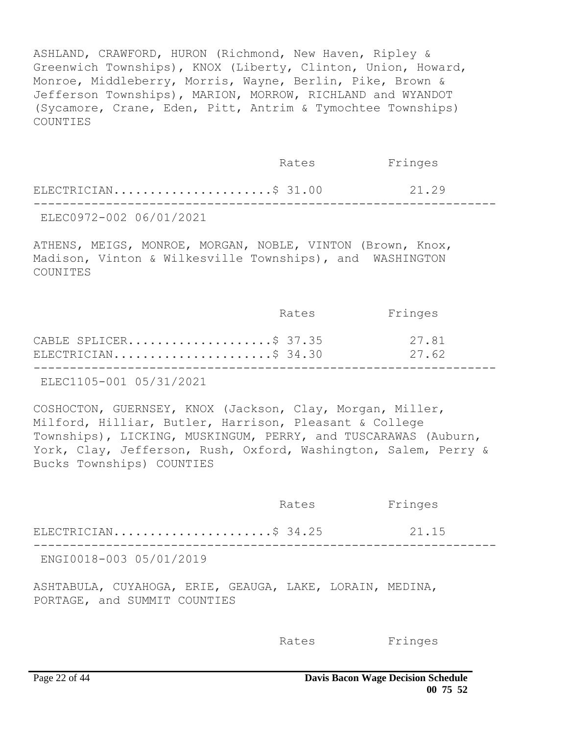ASHLAND, CRAWFORD, HURON (Richmond, New Haven, Ripley & Greenwich Townships), KNOX (Liberty, Clinton, Union, Howard, Monroe, Middleberry, Morris, Wayne, Berlin, Pike, Brown & Jefferson Townships), MARION, MORROW, RICHLAND and WYANDOT (Sycamore, Crane, Eden, Pitt, Antrim & Tymochtee Townships) COUNTIES

 Rates Fringes ELECTRICIAN......................\$ 31.00 21.29 ---------------------------------------------------------------- ELEC0972-002 06/01/2021

ATHENS, MEIGS, MONROE, MORGAN, NOBLE, VINTON (Brown, Knox, Madison, Vinton & Wilkesville Townships), and WASHINGTON COUNITES

|                                              | Rates | Fringes        |  |
|----------------------------------------------|-------|----------------|--|
| CABLE SPLICER\$ 37.35<br>ELECTRICIAN\$ 34.30 |       | 27.81<br>27.62 |  |
|                                              |       |                |  |

ELEC1105-001 05/31/2021

COSHOCTON, GUERNSEY, KNOX (Jackson, Clay, Morgan, Miller, Milford, Hilliar, Butler, Harrison, Pleasant & College Townships), LICKING, MUSKINGUM, PERRY, and TUSCARAWAS (Auburn, York, Clay, Jefferson, Rush, Oxford, Washington, Salem, Perry & Bucks Townships) COUNTIES

 Rates Fringes ELECTRICIAN..........................\$ 34.25 21.15 ---------------------------------------------------------------- ENGI0018-003 05/01/2019

ASHTABULA, CUYAHOGA, ERIE, GEAUGA, LAKE, LORAIN, MEDINA, PORTAGE, and SUMMIT COUNTIES

Rates Fringes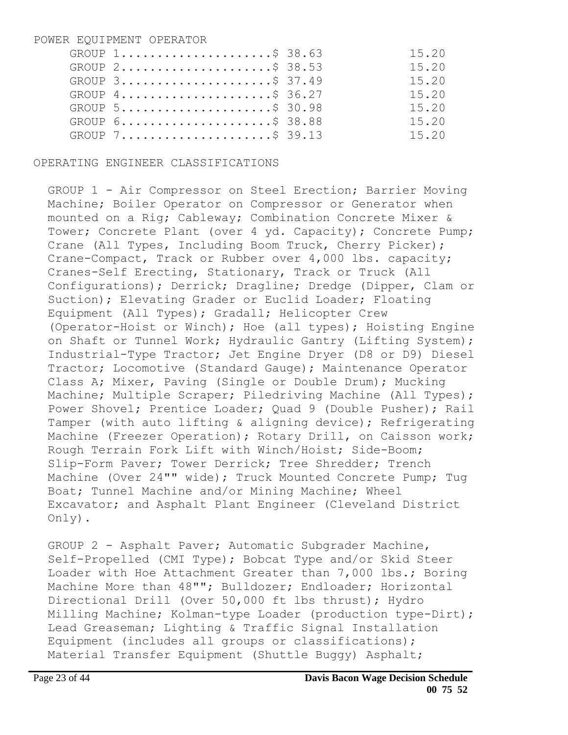| POWER EQUIPMENT OPERATOR         |       |
|----------------------------------|-------|
| GROUP 1\$ 38.63                  | 15.20 |
| GROUP 2\$ 38.53                  | 15.20 |
| GROUP 3\$ 37.49                  | 15.20 |
| GROUP 4\$ 36.27                  | 15.20 |
| GROUP 5\$ 30.98                  | 15.20 |
| GROUP $6.\dots\dots\dots\$ 38.88 | 15.20 |
| GROUP 7\$ 39.13                  | 15.20 |
|                                  |       |

OPERATING ENGINEER CLASSIFICATIONS

 GROUP 1 - Air Compressor on Steel Erection; Barrier Moving Machine; Boiler Operator on Compressor or Generator when mounted on a Rig; Cableway; Combination Concrete Mixer & Tower; Concrete Plant (over 4 yd. Capacity); Concrete Pump; Crane (All Types, Including Boom Truck, Cherry Picker); Crane-Compact, Track or Rubber over 4,000 lbs. capacity; Cranes-Self Erecting, Stationary, Track or Truck (All Configurations); Derrick; Dragline; Dredge (Dipper, Clam or Suction); Elevating Grader or Euclid Loader; Floating Equipment (All Types); Gradall; Helicopter Crew (Operator-Hoist or Winch); Hoe (all types); Hoisting Engine on Shaft or Tunnel Work; Hydraulic Gantry (Lifting System); Industrial-Type Tractor; Jet Engine Dryer (D8 or D9) Diesel Tractor; Locomotive (Standard Gauge); Maintenance Operator Class A; Mixer, Paving (Single or Double Drum); Mucking Machine; Multiple Scraper; Piledriving Machine (All Types); Power Shovel; Prentice Loader; Quad 9 (Double Pusher); Rail Tamper (with auto lifting & aligning device); Refrigerating Machine (Freezer Operation); Rotary Drill, on Caisson work; Rough Terrain Fork Lift with Winch/Hoist; Side-Boom; Slip-Form Paver; Tower Derrick; Tree Shredder; Trench Machine (Over 24"" wide); Truck Mounted Concrete Pump; Tug Boat; Tunnel Machine and/or Mining Machine; Wheel Excavator; and Asphalt Plant Engineer (Cleveland District Only).

 GROUP 2 - Asphalt Paver; Automatic Subgrader Machine, Self-Propelled (CMI Type); Bobcat Type and/or Skid Steer Loader with Hoe Attachment Greater than 7,000 lbs.; Boring Machine More than 48""; Bulldozer; Endloader; Horizontal Directional Drill (Over 50,000 ft lbs thrust); Hydro Milling Machine; Kolman-type Loader (production type-Dirt); Lead Greaseman; Lighting & Traffic Signal Installation Equipment (includes all groups or classifications); Material Transfer Equipment (Shuttle Buggy) Asphalt;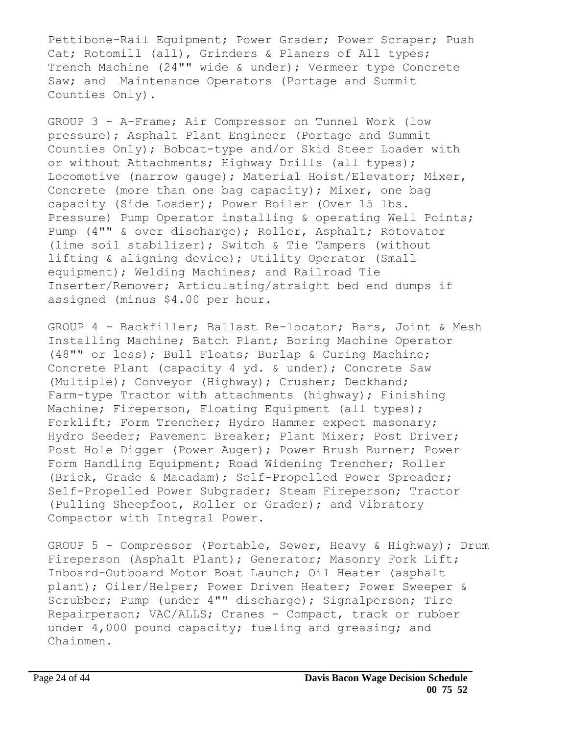Pettibone-Rail Equipment; Power Grader; Power Scraper; Push Cat; Rotomill (all), Grinders & Planers of All types; Trench Machine (24"" wide & under); Vermeer type Concrete Saw; and Maintenance Operators (Portage and Summit Counties Only).

 GROUP 3 - A-Frame; Air Compressor on Tunnel Work (low pressure); Asphalt Plant Engineer (Portage and Summit Counties Only); Bobcat-type and/or Skid Steer Loader with or without Attachments; Highway Drills (all types); Locomotive (narrow gauge); Material Hoist/Elevator; Mixer, Concrete (more than one bag capacity); Mixer, one bag capacity (Side Loader); Power Boiler (Over 15 lbs. Pressure) Pump Operator installing & operating Well Points; Pump (4"" & over discharge); Roller, Asphalt; Rotovator (lime soil stabilizer); Switch & Tie Tampers (without lifting & aligning device); Utility Operator (Small equipment); Welding Machines; and Railroad Tie Inserter/Remover; Articulating/straight bed end dumps if assigned (minus \$4.00 per hour.

 GROUP 4 - Backfiller; Ballast Re-locator; Bars, Joint & Mesh Installing Machine; Batch Plant; Boring Machine Operator (48"" or less); Bull Floats; Burlap & Curing Machine; Concrete Plant (capacity 4 yd. & under); Concrete Saw (Multiple); Conveyor (Highway); Crusher; Deckhand; Farm-type Tractor with attachments (highway); Finishing Machine; Fireperson, Floating Equipment (all types); Forklift; Form Trencher; Hydro Hammer expect masonary; Hydro Seeder; Pavement Breaker; Plant Mixer; Post Driver; Post Hole Digger (Power Auger); Power Brush Burner; Power Form Handling Equipment; Road Widening Trencher; Roller (Brick, Grade & Macadam); Self-Propelled Power Spreader; Self-Propelled Power Subgrader; Steam Fireperson; Tractor (Pulling Sheepfoot, Roller or Grader); and Vibratory Compactor with Integral Power.

 GROUP 5 - Compressor (Portable, Sewer, Heavy & Highway); Drum Fireperson (Asphalt Plant); Generator; Masonry Fork Lift; Inboard-Outboard Motor Boat Launch; Oil Heater (asphalt plant); Oiler/Helper; Power Driven Heater; Power Sweeper & Scrubber; Pump (under 4"" discharge); Signalperson; Tire Repairperson; VAC/ALLS; Cranes - Compact, track or rubber under 4,000 pound capacity; fueling and greasing; and Chainmen.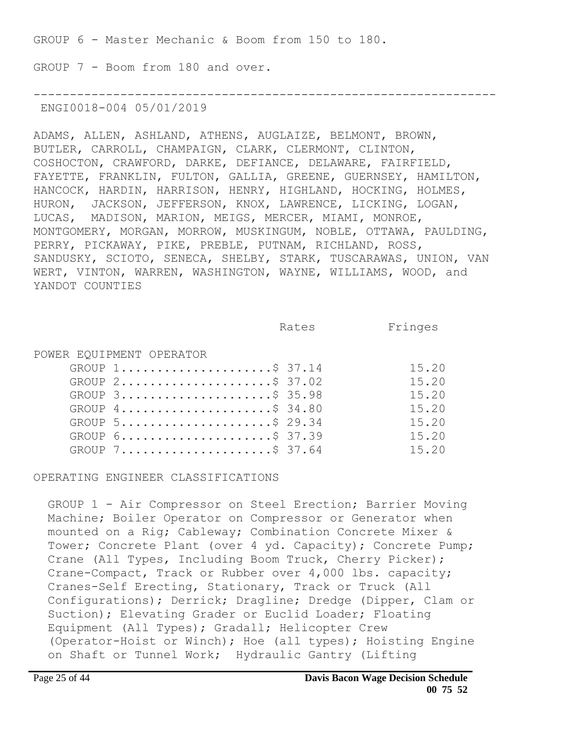GROUP 6 - Master Mechanic & Boom from 150 to 180.

GROUP 7 - Boom from 180 and over.

----------------------------------------------------------------

ENGI0018-004 05/01/2019

ADAMS, ALLEN, ASHLAND, ATHENS, AUGLAIZE, BELMONT, BROWN, BUTLER, CARROLL, CHAMPAIGN, CLARK, CLERMONT, CLINTON, COSHOCTON, CRAWFORD, DARKE, DEFIANCE, DELAWARE, FAIRFIELD, FAYETTE, FRANKLIN, FULTON, GALLIA, GREENE, GUERNSEY, HAMILTON, HANCOCK, HARDIN, HARRISON, HENRY, HIGHLAND, HOCKING, HOLMES, HURON, JACKSON, JEFFERSON, KNOX, LAWRENCE, LICKING, LOGAN, LUCAS, MADISON, MARION, MEIGS, MERCER, MIAMI, MONROE, MONTGOMERY, MORGAN, MORROW, MUSKINGUM, NOBLE, OTTAWA, PAULDING, PERRY, PICKAWAY, PIKE, PREBLE, PUTNAM, RICHLAND, ROSS, SANDUSKY, SCIOTO, SENECA, SHELBY, STARK, TUSCARAWAS, UNION, VAN WERT, VINTON, WARREN, WASHINGTON, WAYNE, WILLIAMS, WOOD, and YANDOT COUNTIES

Rates Fringes

| POWER EQUIPMENT OPERATOR                                           |       |
|--------------------------------------------------------------------|-------|
| GROUP 1\$ 37.14                                                    | 15.20 |
| GROUP $2 \ldots \ldots \ldots \ldots \ldots \ldots \approx 37.02$  | 15.20 |
| GROUP 3\$ 35.98                                                    | 15.20 |
| GROUP $4 \ldots \ldots \ldots \ldots \ldots \ldots$ . \$34.80      | 15.20 |
| GROUP $5 \ldots \ldots \ldots \ldots \ldots \ldots \text{S}$ 29.34 | 15.20 |
| GROUP 6\$ 37.39                                                    | 15.20 |
| GROUP 7\$ 37.64                                                    | 15.20 |

OPERATING ENGINEER CLASSIFICATIONS

 GROUP 1 - Air Compressor on Steel Erection; Barrier Moving Machine; Boiler Operator on Compressor or Generator when mounted on a Rig; Cableway; Combination Concrete Mixer & Tower; Concrete Plant (over 4 yd. Capacity); Concrete Pump; Crane (All Types, Including Boom Truck, Cherry Picker); Crane-Compact, Track or Rubber over 4,000 lbs. capacity; Cranes-Self Erecting, Stationary, Track or Truck (All Configurations); Derrick; Dragline; Dredge (Dipper, Clam or Suction); Elevating Grader or Euclid Loader; Floating Equipment (All Types); Gradall; Helicopter Crew (Operator-Hoist or Winch); Hoe (all types); Hoisting Engine on Shaft or Tunnel Work; Hydraulic Gantry (Lifting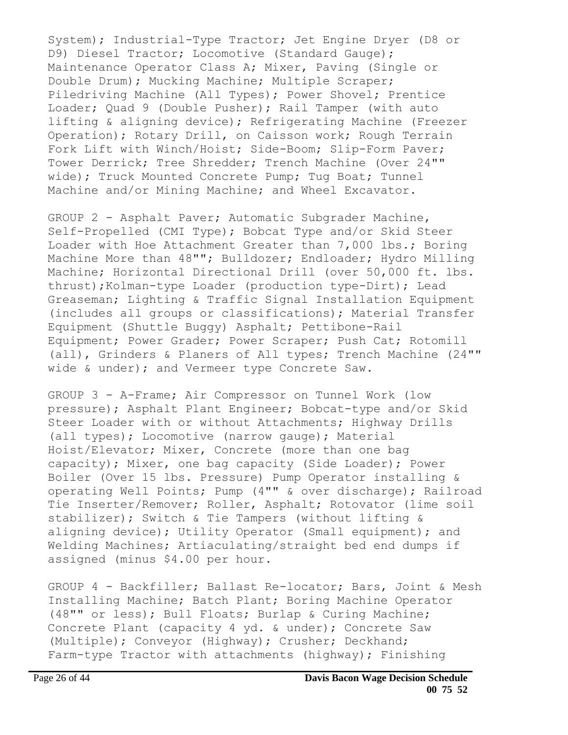System); Industrial-Type Tractor; Jet Engine Dryer (D8 or D9) Diesel Tractor; Locomotive (Standard Gauge); Maintenance Operator Class A; Mixer, Paving (Single or Double Drum); Mucking Machine; Multiple Scraper; Piledriving Machine (All Types); Power Shovel; Prentice Loader; Quad 9 (Double Pusher); Rail Tamper (with auto lifting & aligning device); Refrigerating Machine (Freezer Operation); Rotary Drill, on Caisson work; Rough Terrain Fork Lift with Winch/Hoist; Side-Boom; Slip-Form Paver; Tower Derrick; Tree Shredder; Trench Machine (Over 24"" wide); Truck Mounted Concrete Pump; Tug Boat; Tunnel Machine and/or Mining Machine; and Wheel Excavator.

 GROUP 2 - Asphalt Paver; Automatic Subgrader Machine, Self-Propelled (CMI Type); Bobcat Type and/or Skid Steer Loader with Hoe Attachment Greater than 7,000 lbs.; Boring Machine More than 48""; Bulldozer; Endloader; Hydro Milling Machine; Horizontal Directional Drill (over 50,000 ft. lbs. thrust);Kolman-type Loader (production type-Dirt); Lead Greaseman; Lighting & Traffic Signal Installation Equipment (includes all groups or classifications); Material Transfer Equipment (Shuttle Buggy) Asphalt; Pettibone-Rail Equipment; Power Grader; Power Scraper; Push Cat; Rotomill (all), Grinders & Planers of All types; Trench Machine (24"" wide & under); and Vermeer type Concrete Saw.

 GROUP 3 - A-Frame; Air Compressor on Tunnel Work (low pressure); Asphalt Plant Engineer; Bobcat-type and/or Skid Steer Loader with or without Attachments; Highway Drills (all types); Locomotive (narrow gauge); Material Hoist/Elevator; Mixer, Concrete (more than one bag capacity); Mixer, one bag capacity (Side Loader); Power Boiler (Over 15 lbs. Pressure) Pump Operator installing & operating Well Points; Pump (4"" & over discharge); Railroad Tie Inserter/Remover; Roller, Asphalt; Rotovator (lime soil stabilizer); Switch & Tie Tampers (without lifting & aligning device); Utility Operator (Small equipment); and Welding Machines; Artiaculating/straight bed end dumps if assigned (minus \$4.00 per hour.

 GROUP 4 - Backfiller; Ballast Re-locator; Bars, Joint & Mesh Installing Machine; Batch Plant; Boring Machine Operator (48"" or less); Bull Floats; Burlap & Curing Machine; Concrete Plant (capacity 4 yd. & under); Concrete Saw (Multiple); Conveyor (Highway); Crusher; Deckhand; Farm-type Tractor with attachments (highway); Finishing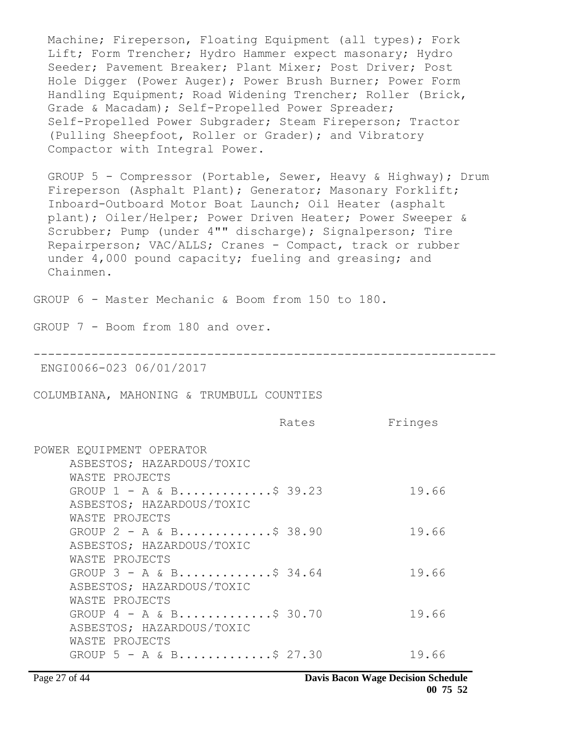Machine; Fireperson, Floating Equipment (all types); Fork Lift; Form Trencher; Hydro Hammer expect masonary; Hydro Seeder; Pavement Breaker; Plant Mixer; Post Driver; Post Hole Digger (Power Auger); Power Brush Burner; Power Form Handling Equipment; Road Widening Trencher; Roller (Brick, Grade & Macadam); Self-Propelled Power Spreader; Self-Propelled Power Subgrader; Steam Fireperson; Tractor (Pulling Sheepfoot, Roller or Grader); and Vibratory Compactor with Integral Power.

 GROUP 5 - Compressor (Portable, Sewer, Heavy & Highway); Drum Fireperson (Asphalt Plant); Generator; Masonary Forklift; Inboard-Outboard Motor Boat Launch; Oil Heater (asphalt plant); Oiler/Helper; Power Driven Heater; Power Sweeper & Scrubber; Pump (under 4"" discharge); Signalperson; Tire Repairperson; VAC/ALLS; Cranes - Compact, track or rubber under 4,000 pound capacity; fueling and greasing; and Chainmen.

GROUP 6 - Master Mechanic & Boom from 150 to 180.

GROUP 7 - Boom from 180 and over.

---------------------------------------------------------------- ENGI0066-023 06/01/2017

COLUMBIANA, MAHONING & TRUMBULL COUNTIES

|                            | Rates | Fringes |
|----------------------------|-------|---------|
| POWER EQUIPMENT OPERATOR   |       |         |
| ASBESTOS; HAZARDOUS/TOXIC  |       |         |
| WASTE PROJECTS             |       |         |
| GROUP $1 - A & B$ \$ 39.23 |       | 19.66   |
| ASBESTOS; HAZARDOUS/TOXIC  |       |         |
| WASTE PROJECTS             |       |         |
| GROUP $2 - A & B$ \$ 38.90 |       | 19.66   |
| ASBESTOS; HAZARDOUS/TOXIC  |       |         |
| WASTE PROJECTS             |       |         |
| GROUP $3 - A & B$ \$ 34.64 |       | 19.66   |
| ASBESTOS; HAZARDOUS/TOXIC  |       |         |
| WASTE PROJECTS             |       |         |
| GROUP $4 - A & B$ \$ 30.70 |       | 19.66   |
| ASBESTOS; HAZARDOUS/TOXIC  |       |         |
| WASTE PROJECTS             |       |         |
| GROUP $5 - A & B$ \$ 27.30 |       | 19.66   |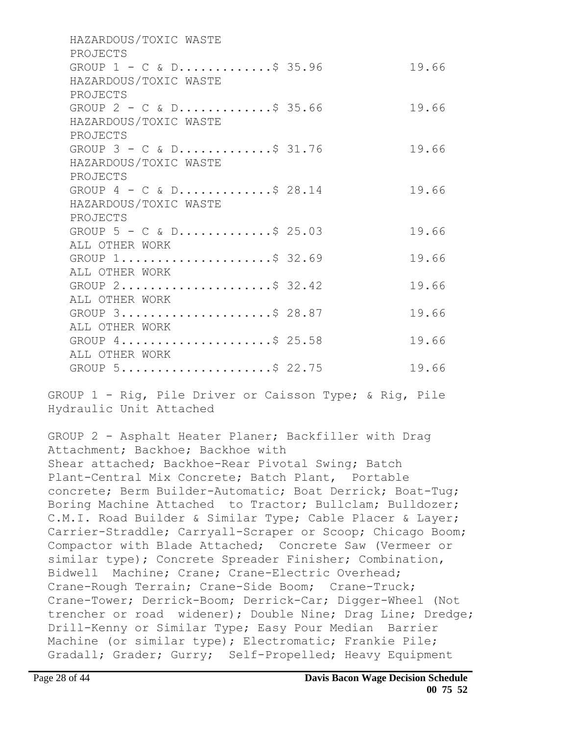HAZARDOUS/TOXIC WASTE PROJECTS GROUP  $1 - C & D$ ...............\$ 35.96 19.66 HAZARDOUS/TOXIC WASTE PROJECTS GROUP 2 - C & D................\$ 35.66 19.66 HAZARDOUS/TOXIC WASTE PROJECTS GROUP 3 - C & D................\$ 31.76 19.66 HAZARDOUS/TOXIC WASTE PROJECTS GROUP  $4 - C$  & D................\$ 28.14 19.66 HAZARDOUS/TOXIC WASTE PROJECTS GROUP 5 - C & D................\$ 25.03 19.66 ALL OTHER WORK GROUP 1.....................\$ 32.69 19.66 ALL OTHER WORK GROUP 2.........................\$ 32.42 19.66 ALL OTHER WORK GROUP 3.........................\$ 28.87 19.66 ALL OTHER WORK GROUP 4.............................\$ 25.58 19.66 ALL OTHER WORK GROUP 5.....................\$ 22.75 19.66

 GROUP 1 - Rig, Pile Driver or Caisson Type; & Rig, Pile Hydraulic Unit Attached

 GROUP 2 - Asphalt Heater Planer; Backfiller with Drag Attachment; Backhoe; Backhoe with Shear attached; Backhoe-Rear Pivotal Swing; Batch Plant-Central Mix Concrete; Batch Plant, Portable concrete; Berm Builder-Automatic; Boat Derrick; Boat-Tug; Boring Machine Attached to Tractor; Bullclam; Bulldozer; C.M.I. Road Builder & Similar Type; Cable Placer & Layer; Carrier-Straddle; Carryall-Scraper or Scoop; Chicago Boom; Compactor with Blade Attached; Concrete Saw (Vermeer or similar type); Concrete Spreader Finisher; Combination, Bidwell Machine; Crane; Crane-Electric Overhead; Crane-Rough Terrain; Crane-Side Boom; Crane-Truck; Crane-Tower; Derrick-Boom; Derrick-Car; Digger-Wheel (Not trencher or road widener); Double Nine; Drag Line; Dredge; Drill-Kenny or Similar Type; Easy Pour Median Barrier Machine (or similar type); Electromatic; Frankie Pile; Gradall; Grader; Gurry; Self-Propelled; Heavy Equipment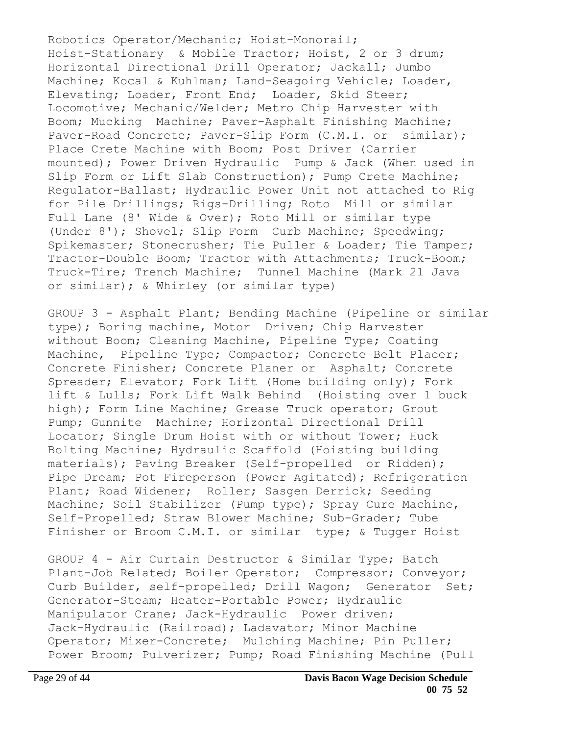Robotics Operator/Mechanic; Hoist-Monorail; Hoist-Stationary & Mobile Tractor; Hoist, 2 or 3 drum; Horizontal Directional Drill Operator; Jackall; Jumbo Machine; Kocal & Kuhlman; Land-Seagoing Vehicle; Loader, Elevating; Loader, Front End; Loader, Skid Steer; Locomotive; Mechanic/Welder; Metro Chip Harvester with Boom; Mucking Machine; Paver-Asphalt Finishing Machine; Paver-Road Concrete; Paver-Slip Form (C.M.I. or similar); Place Crete Machine with Boom; Post Driver (Carrier mounted); Power Driven Hydraulic Pump & Jack (When used in Slip Form or Lift Slab Construction); Pump Crete Machine; Regulator-Ballast; Hydraulic Power Unit not attached to Rig for Pile Drillings; Rigs-Drilling; Roto Mill or similar Full Lane (8' Wide & Over); Roto Mill or similar type (Under 8'); Shovel; Slip Form Curb Machine; Speedwing; Spikemaster; Stonecrusher; Tie Puller & Loader; Tie Tamper; Tractor-Double Boom; Tractor with Attachments; Truck-Boom; Truck-Tire; Trench Machine; Tunnel Machine (Mark 21 Java or similar); & Whirley (or similar type)

 GROUP 3 - Asphalt Plant; Bending Machine (Pipeline or similar type); Boring machine, Motor Driven; Chip Harvester without Boom; Cleaning Machine, Pipeline Type; Coating Machine, Pipeline Type; Compactor; Concrete Belt Placer; Concrete Finisher; Concrete Planer or Asphalt; Concrete Spreader; Elevator; Fork Lift (Home building only); Fork lift & Lulls; Fork Lift Walk Behind (Hoisting over 1 buck high); Form Line Machine; Grease Truck operator; Grout Pump; Gunnite Machine; Horizontal Directional Drill Locator; Single Drum Hoist with or without Tower; Huck Bolting Machine; Hydraulic Scaffold (Hoisting building materials); Paving Breaker (Self-propelled or Ridden); Pipe Dream; Pot Fireperson (Power Agitated); Refrigeration Plant; Road Widener; Roller; Sasgen Derrick; Seeding Machine; Soil Stabilizer (Pump type); Spray Cure Machine, Self-Propelled; Straw Blower Machine; Sub-Grader; Tube Finisher or Broom C.M.I. or similar type; & Tugger Hoist

 GROUP 4 - Air Curtain Destructor & Similar Type; Batch Plant-Job Related; Boiler Operator; Compressor; Conveyor; Curb Builder, self-propelled; Drill Wagon; Generator Set; Generator-Steam; Heater-Portable Power; Hydraulic Manipulator Crane; Jack-Hydraulic Power driven; Jack-Hydraulic (Railroad); Ladavator; Minor Machine Operator; Mixer-Concrete; Mulching Machine; Pin Puller; Power Broom; Pulverizer; Pump; Road Finishing Machine (Pull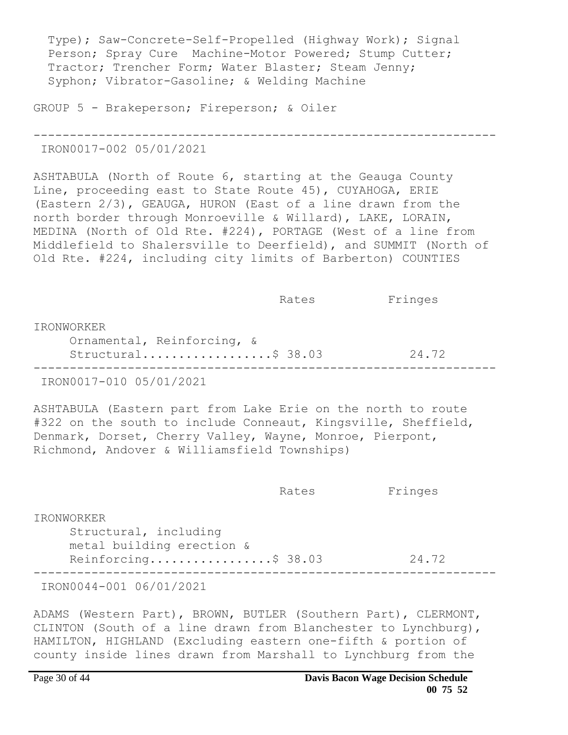Type); Saw-Concrete-Self-Propelled (Highway Work); Signal Person; Spray Cure Machine-Motor Powered; Stump Cutter; Tractor; Trencher Form; Water Blaster; Steam Jenny; Syphon; Vibrator-Gasoline; & Welding Machine

GROUP 5 - Brakeperson; Fireperson; & Oiler

---------------------------------------------------------------- IRON0017-002 05/01/2021

ASHTABULA (North of Route 6, starting at the Geauga County Line, proceeding east to State Route 45), CUYAHOGA, ERIE (Eastern 2/3), GEAUGA, HURON (East of a line drawn from the north border through Monroeville & Willard), LAKE, LORAIN, MEDINA (North of Old Rte. #224), PORTAGE (West of a line from Middlefield to Shalersville to Deerfield), and SUMMIT (North of Old Rte. #224, including city limits of Barberton) COUNTIES

Rates Fringes

IRONWORKER Ornamental, Reinforcing, & Structural..................\$ 38.03 24.72 ---------------------------------------------------------------- IRON0017-010 05/01/2021

ASHTABULA (Eastern part from Lake Erie on the north to route #322 on the south to include Conneaut, Kingsville, Sheffield, Denmark, Dorset, Cherry Valley, Wayne, Monroe, Pierpont, Richmond, Andover & Williamsfield Townships)

Rates Fringes

IRONWORKER Structural, including metal building erection & Reinforcing.................\$ 38.03 24.72 ----------------------------------------------------------------

IRON0044-001 06/01/2021

ADAMS (Western Part), BROWN, BUTLER (Southern Part), CLERMONT, CLINTON (South of a line drawn from Blanchester to Lynchburg), HAMILTON, HIGHLAND (Excluding eastern one-fifth & portion of county inside lines drawn from Marshall to Lynchburg from the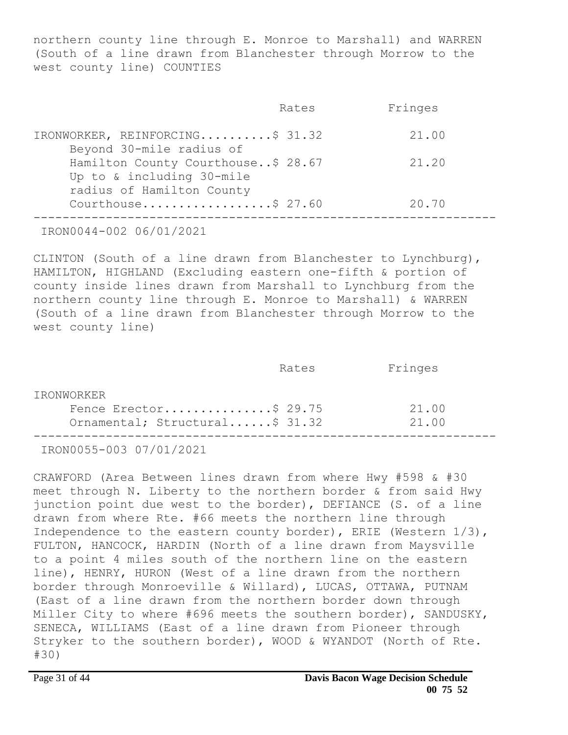northern county line through E. Monroe to Marshall) and WARREN (South of a line drawn from Blanchester through Morrow to the west county line) COUNTIES

|                                                                                              | Rates | Fringes |  |
|----------------------------------------------------------------------------------------------|-------|---------|--|
| IRONWORKER, REINFORCING\$ 31.32<br>Beyond 30-mile radius of                                  |       | 21.00   |  |
| Hamilton County Courthouse\$ 28.67<br>Up to & including 30-mile<br>radius of Hamilton County |       | 21.20   |  |
| Courthouse\$ 27.60                                                                           |       | 20.70   |  |
| IRON0044-002 06/01/2021                                                                      |       |         |  |

CLINTON (South of a line drawn from Blanchester to Lynchburg), HAMILTON, HIGHLAND (Excluding eastern one-fifth & portion of county inside lines drawn from Marshall to Lynchburg from the northern county line through E. Monroe to Marshall) & WARREN (South of a line drawn from Blanchester through Morrow to the west county line)

|                                | Rates | Fringes |
|--------------------------------|-------|---------|
| IRONWORKER                     |       |         |
| Fence Erector\$ 29.75          |       | 21.00   |
| Ornamental; Structural\$ 31.32 |       | 21.00   |
|                                |       |         |

IRON0055-003 07/01/2021

CRAWFORD (Area Between lines drawn from where Hwy #598 & #30 meet through N. Liberty to the northern border & from said Hwy junction point due west to the border), DEFIANCE (S. of a line drawn from where Rte. #66 meets the northern line through Independence to the eastern county border), ERIE (Western 1/3), FULTON, HANCOCK, HARDIN (North of a line drawn from Maysville to a point 4 miles south of the northern line on the eastern line), HENRY, HURON (West of a line drawn from the northern border through Monroeville & Willard), LUCAS, OTTAWA, PUTNAM (East of a line drawn from the northern border down through Miller City to where #696 meets the southern border), SANDUSKY, SENECA, WILLIAMS (East of a line drawn from Pioneer through Stryker to the southern border), WOOD & WYANDOT (North of Rte. #30)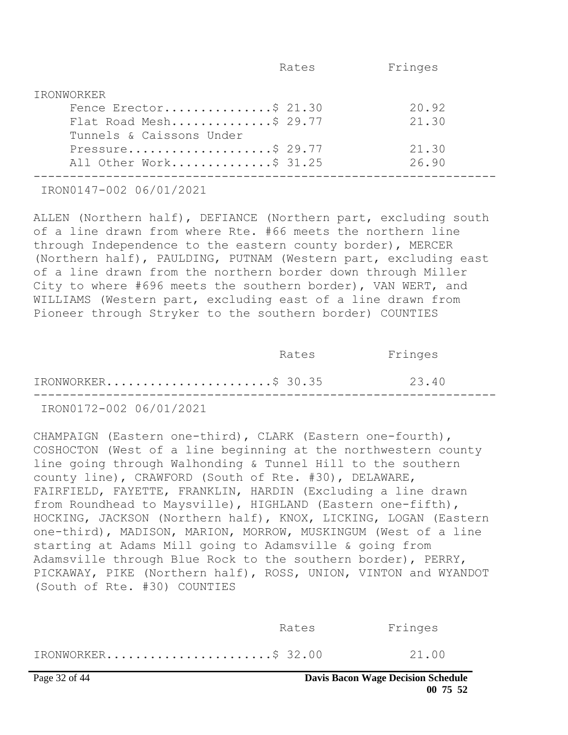|                          | Rates | Fringes |
|--------------------------|-------|---------|
| IRONWORKER               |       |         |
| Fence Erector\$ 21.30    |       | 20.92   |
| Flat Road Mesh\$ 29.77   |       | 21.30   |
| Tunnels & Caissons Under |       |         |
| Pressure\$ 29.77         |       | 21.30   |
| All Other Work\$ 31.25   |       | 26.90   |
|                          |       |         |

IRON0147-002 06/01/2021

ALLEN (Northern half), DEFIANCE (Northern part, excluding south of a line drawn from where Rte. #66 meets the northern line through Independence to the eastern county border), MERCER (Northern half), PAULDING, PUTNAM (Western part, excluding east of a line drawn from the northern border down through Miller City to where #696 meets the southern border), VAN WERT, and WILLIAMS (Western part, excluding east of a line drawn from Pioneer through Stryker to the southern border) COUNTIES

 Rates Fringes IRONWORKER............................\$ 30.35 23.40 ----------------------------------------------------------------

IRON0172-002 06/01/2021

CHAMPAIGN (Eastern one-third), CLARK (Eastern one-fourth), COSHOCTON (West of a line beginning at the northwestern county line going through Walhonding & Tunnel Hill to the southern county line), CRAWFORD (South of Rte. #30), DELAWARE, FAIRFIELD, FAYETTE, FRANKLIN, HARDIN (Excluding a line drawn from Roundhead to Maysville), HIGHLAND (Eastern one-fifth), HOCKING, JACKSON (Northern half), KNOX, LICKING, LOGAN (Eastern one-third), MADISON, MARION, MORROW, MUSKINGUM (West of a line starting at Adams Mill going to Adamsville & going from Adamsville through Blue Rock to the southern border), PERRY, PICKAWAY, PIKE (Northern half), ROSS, UNION, VINTON and WYANDOT (South of Rte. #30) COUNTIES

|                    | Rates | Fringes |
|--------------------|-------|---------|
| IRONWORKER\$ 32.00 |       | 21.00   |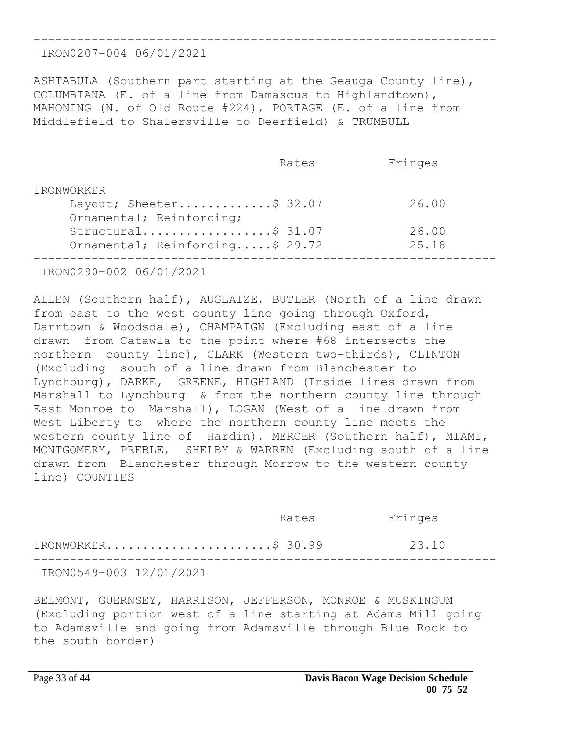IRON0207-004 06/01/2021

ASHTABULA (Southern part starting at the Geauga County line), COLUMBIANA (E. of a line from Damascus to Highlandtown), MAHONING (N. of Old Route #224), PORTAGE (E. of a line from Middlefield to Shalersville to Deerfield) & TRUMBULL

----------------------------------------------------------------

|                                                     | Rates | Fringes |
|-----------------------------------------------------|-------|---------|
| IRONWORKER                                          |       |         |
| Layout; Sheeter\$ 32.07<br>Ornamental; Reinforcing; |       | 26.00   |
| $Structural$ \$ 31.07                               |       | 26.00   |
| Ornamental; Reinforcing\$ 29.72                     |       | 25.18   |

IRON0290-002 06/01/2021

ALLEN (Southern half), AUGLAIZE, BUTLER (North of a line drawn from east to the west county line going through Oxford, Darrtown & Woodsdale), CHAMPAIGN (Excluding east of a line drawn from Catawla to the point where #68 intersects the northern county line), CLARK (Western two-thirds), CLINTON (Excluding south of a line drawn from Blanchester to Lynchburg), DARKE, GREENE, HIGHLAND (Inside lines drawn from Marshall to Lynchburg & from the northern county line through East Monroe to Marshall), LOGAN (West of a line drawn from West Liberty to where the northern county line meets the western county line of Hardin), MERCER (Southern half), MIAMI, MONTGOMERY, PREBLE, SHELBY & WARREN (Excluding south of a line drawn from Blanchester through Morrow to the western county line) COUNTIES

|                         | Rates | Fringes |  |
|-------------------------|-------|---------|--|
| IRONWORKER\$ 30.99      |       | 23.10   |  |
| IRON0549-003 12/01/2021 |       |         |  |

BELMONT, GUERNSEY, HARRISON, JEFFERSON, MONROE & MUSKINGUM (Excluding portion west of a line starting at Adams Mill going to Adamsville and going from Adamsville through Blue Rock to the south border)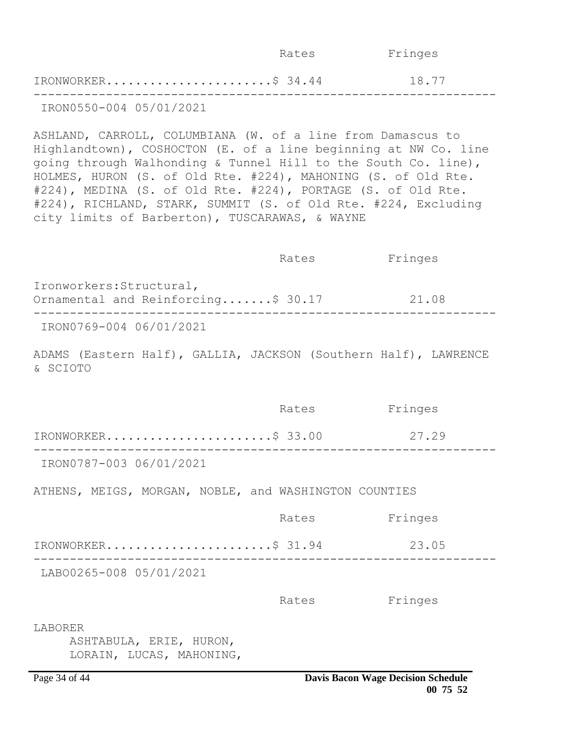| IRONWORKER\$ 34.44 18.77<br>____________                                                                                                                                                                                                                                                                                                                                                                                                              |       |         |  |
|-------------------------------------------------------------------------------------------------------------------------------------------------------------------------------------------------------------------------------------------------------------------------------------------------------------------------------------------------------------------------------------------------------------------------------------------------------|-------|---------|--|
| IRON0550-004 05/01/2021                                                                                                                                                                                                                                                                                                                                                                                                                               |       |         |  |
| ASHLAND, CARROLL, COLUMBIANA (W. of a line from Damascus to<br>Highlandtown), COSHOCTON (E. of a line beginning at NW Co. line<br>going through Walhonding & Tunnel Hill to the South Co. line),<br>HOLMES, HURON (S. of Old Rte. #224), MAHONING (S. of Old Rte.<br>#224), MEDINA (S. of Old Rte. #224), PORTAGE (S. of Old Rte.<br>#224), RICHLAND, STARK, SUMMIT (S. of Old Rte. #224, Excluding<br>city limits of Barberton), TUSCARAWAS, & WAYNE |       |         |  |
|                                                                                                                                                                                                                                                                                                                                                                                                                                                       | Rates | Fringes |  |
| Ironworkers: Structural,<br>Ornamental and Reinforcing\$ 30.17                                                                                                                                                                                                                                                                                                                                                                                        |       | 21.08   |  |
| IRON0769-004 06/01/2021                                                                                                                                                                                                                                                                                                                                                                                                                               |       |         |  |
| ADAMS (Eastern Half), GALLIA, JACKSON (Southern Half), LAWRENCE<br>& SCIOTO                                                                                                                                                                                                                                                                                                                                                                           |       |         |  |
|                                                                                                                                                                                                                                                                                                                                                                                                                                                       | Rates | Fringes |  |
| IRONWORKER\$ 33.00                                                                                                                                                                                                                                                                                                                                                                                                                                    |       | 27.29   |  |
| IRON0787-003 06/01/2021                                                                                                                                                                                                                                                                                                                                                                                                                               |       |         |  |
| ATHENS, MEIGS, MORGAN, NOBLE, and WASHINGTON COUNTIES                                                                                                                                                                                                                                                                                                                                                                                                 |       |         |  |
|                                                                                                                                                                                                                                                                                                                                                                                                                                                       | Rates | Fringes |  |
| IRONWORKER\$ 31.94                                                                                                                                                                                                                                                                                                                                                                                                                                    |       | 23.05   |  |
| LAB00265-008 05/01/2021                                                                                                                                                                                                                                                                                                                                                                                                                               |       |         |  |

Rates Fringes

Rates Fringes

LABORER

 ASHTABULA, ERIE, HURON, LORAIN, LUCAS, MAHONING,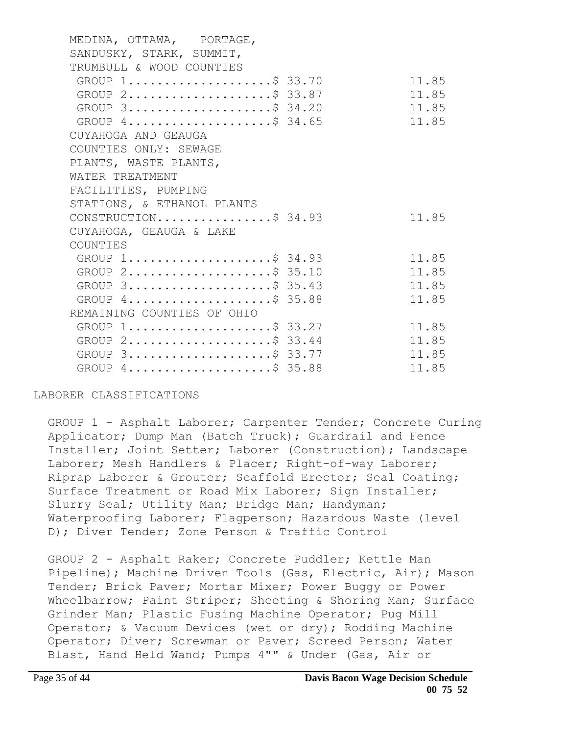MEDINA, OTTAWA, PORTAGE, SANDUSKY, STARK, SUMMIT, TRUMBULL & WOOD COUNTIES GROUP 1..........................\$ 33.70 11.85 GROUP 2....................\$ 33.87 11.85 GROUP 3..........................\$ 34.20 11.85 GROUP 4............................\$ 34.65 11.85 CUYAHOGA AND GEAUGA COUNTIES ONLY: SEWAGE PLANTS, WASTE PLANTS, WATER TREATMENT FACILITIES, PUMPING STATIONS, & ETHANOL PLANTS CONSTRUCTION..................\$ 34.93 11.85 CUYAHOGA, GEAUGA & LAKE COUNTIES GROUP 1....................\$ 34.93 11.85 GROUP 2...........................\$ 35.10 11.85 GROUP 3.........................\$ 35.43 11.85 GROUP 4............................\$ 35.88 11.85 REMAINING COUNTIES OF OHIO GROUP 1.........................\$ 33.27 11.85 GROUP 2....................\$ 33.44 11.85 GROUP 3.........................\$ 33.77 11.85 GROUP 4............................\$ 35.88 11.85

## LABORER CLASSIFICATIONS

 GROUP 1 - Asphalt Laborer; Carpenter Tender; Concrete Curing Applicator; Dump Man (Batch Truck); Guardrail and Fence Installer; Joint Setter; Laborer (Construction); Landscape Laborer; Mesh Handlers & Placer; Right-of-way Laborer; Riprap Laborer & Grouter; Scaffold Erector; Seal Coating; Surface Treatment or Road Mix Laborer; Sign Installer; Slurry Seal; Utility Man; Bridge Man; Handyman; Waterproofing Laborer; Flagperson; Hazardous Waste (level D); Diver Tender; Zone Person & Traffic Control

 GROUP 2 - Asphalt Raker; Concrete Puddler; Kettle Man Pipeline); Machine Driven Tools (Gas, Electric, Air); Mason Tender; Brick Paver; Mortar Mixer; Power Buggy or Power Wheelbarrow; Paint Striper; Sheeting & Shoring Man; Surface Grinder Man; Plastic Fusing Machine Operator; Pug Mill Operator; & Vacuum Devices (wet or dry); Rodding Machine Operator; Diver; Screwman or Paver; Screed Person; Water Blast, Hand Held Wand; Pumps 4"" & Under (Gas, Air or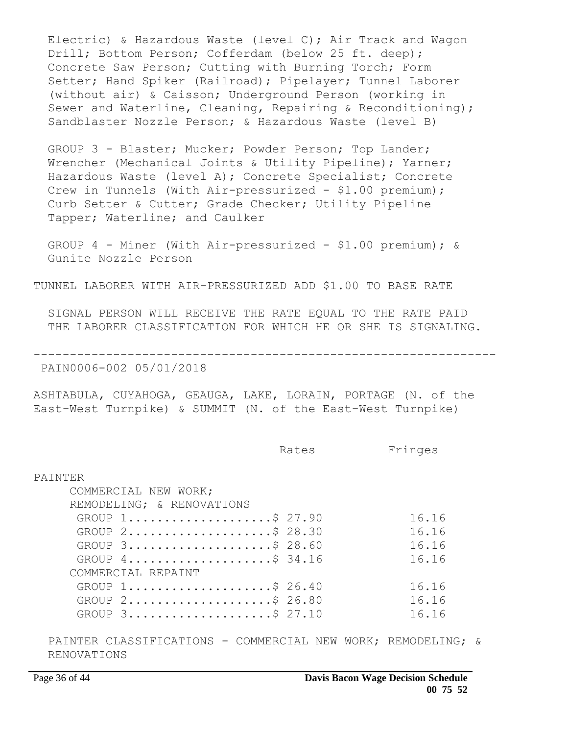Electric) & Hazardous Waste (level C); Air Track and Wagon Drill; Bottom Person; Cofferdam (below 25 ft. deep); Concrete Saw Person; Cutting with Burning Torch; Form Setter; Hand Spiker (Railroad); Pipelayer; Tunnel Laborer (without air) & Caisson; Underground Person (working in Sewer and Waterline, Cleaning, Repairing & Reconditioning); Sandblaster Nozzle Person; & Hazardous Waste (level B)

 GROUP 3 - Blaster; Mucker; Powder Person; Top Lander; Wrencher (Mechanical Joints & Utility Pipeline); Yarner; Hazardous Waste (level A); Concrete Specialist; Concrete Crew in Tunnels (With Air-pressurized - \$1.00 premium); Curb Setter & Cutter; Grade Checker; Utility Pipeline Tapper; Waterline; and Caulker

 GROUP 4 - Miner (With Air-pressurized - \$1.00 premium); & Gunite Nozzle Person

TUNNEL LABORER WITH AIR-PRESSURIZED ADD \$1.00 TO BASE RATE

 SIGNAL PERSON WILL RECEIVE THE RATE EQUAL TO THE RATE PAID THE LABORER CLASSIFICATION FOR WHICH HE OR SHE IS SIGNALING.

---------------------------------------------------------------- PAIN0006-002 05/01/2018

ASHTABULA, CUYAHOGA, GEAUGA, LAKE, LORAIN, PORTAGE (N. of the East-West Turnpike) & SUMMIT (N. of the East-West Turnpike)

Rates Fringes

| PAINTER                                            |       |
|----------------------------------------------------|-------|
| COMMERCIAL NEW WORK;                               |       |
| REMODELING; & RENOVATIONS                          |       |
| GROUP 1\$ 27.90                                    | 16.16 |
| GROUP 2\$ 28.30                                    | 16.16 |
| GROUP 3\$ 28.60                                    | 16.16 |
| GROUP 4\$ 34.16                                    | 16.16 |
| COMMERCIAL REPAINT                                 |       |
| GROUP $1, \ldots, \ldots, \ldots, \ldots, \$ 26.40 | 16.16 |
| GROUP 2\$ 26.80                                    | 16.16 |
| GROUP 3\$ 27.10                                    | 16.16 |

PAINTER CLASSIFICATIONS - COMMERCIAL NEW WORK; REMODELING; & RENOVATIONS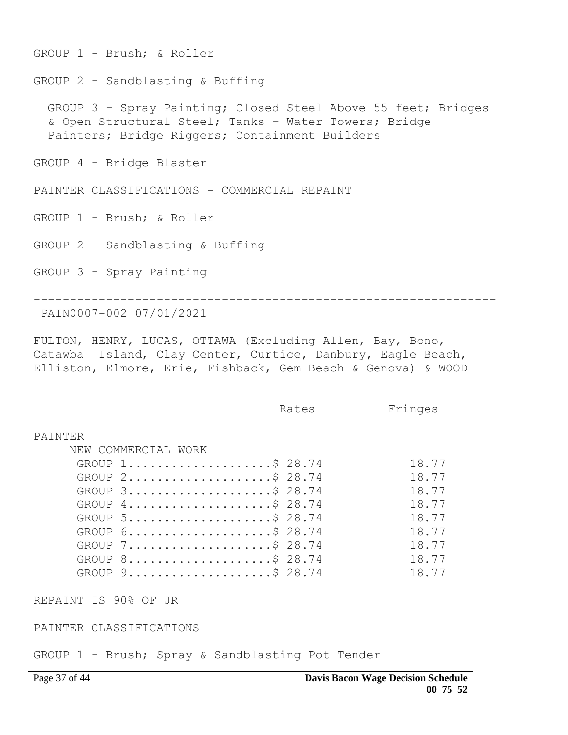GROUP 1 - Brush; & Roller

GROUP 2 - Sandblasting & Buffing

 GROUP 3 - Spray Painting; Closed Steel Above 55 feet; Bridges & Open Structural Steel; Tanks - Water Towers; Bridge Painters; Bridge Riggers; Containment Builders

GROUP 4 - Bridge Blaster

PAINTER CLASSIFICATIONS - COMMERCIAL REPAINT

GROUP 1 - Brush; & Roller

GROUP 2 - Sandblasting & Buffing

GROUP 3 - Spray Painting

----------------------------------------------------------------

PAIN0007-002 07/01/2021

FULTON, HENRY, LUCAS, OTTAWA (Excluding Allen, Bay, Bono, Catawba Island, Clay Center, Curtice, Danbury, Eagle Beach, Elliston, Elmore, Erie, Fishback, Gem Beach & Genova) & WOOD

Rates Fringes

#### PAINTER

| NEW COMMERCIAL WORK                                          |       |
|--------------------------------------------------------------|-------|
| GROUP 1\$ 28.74                                              | 18.77 |
| GROUP 2\$ 28.74                                              | 18.77 |
| GROUP 3\$ 28.74                                              | 18.77 |
| GROUP $4 \ldots \ldots \ldots \ldots \ldots \ldots$ \$ 28.74 | 18.77 |
| GROUP 5\$ 28.74                                              | 18.77 |
| GROUP 6\$ 28.74                                              | 18.77 |
| GROUP $7.7.7.7.7.7.7.7.7.7.7.7.7.5.28.74$                    | 18.77 |
| GROUP $8.74$                                                 | 18.77 |
| GROUP 9\$ 28.74                                              | 18.77 |

REPAINT IS 90% OF JR

PAINTER CLASSIFICATIONS

GROUP 1 - Brush; Spray & Sandblasting Pot Tender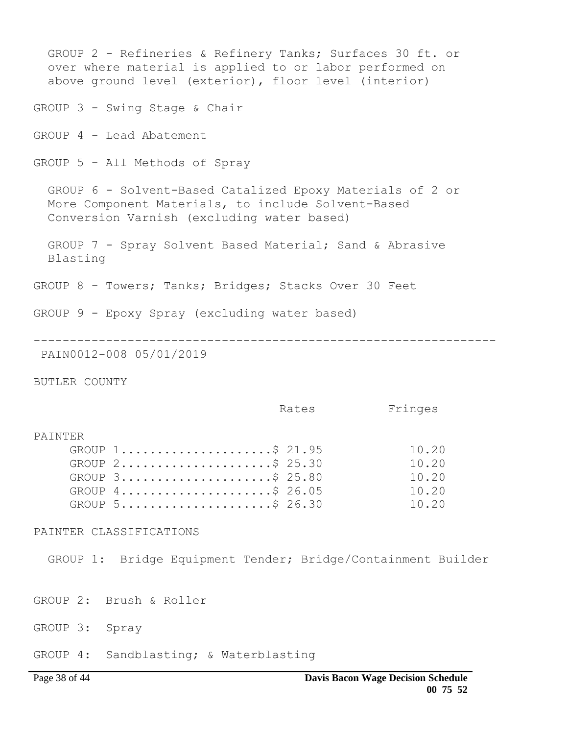GROUP 2 - Refineries & Refinery Tanks; Surfaces 30 ft. or over where material is applied to or labor performed on above ground level (exterior), floor level (interior) GROUP 3 - Swing Stage & Chair GROUP 4 - Lead Abatement GROUP 5 - All Methods of Spray GROUP 6 - Solvent-Based Catalized Epoxy Materials of 2 or More Component Materials, to include Solvent-Based Conversion Varnish (excluding water based) GROUP 7 - Spray Solvent Based Material; Sand & Abrasive Blasting GROUP 8 - Towers; Tanks; Bridges; Stacks Over 30 Feet GROUP 9 - Epoxy Spray (excluding water based) ---------------------------------------------------------------- PAIN0012-008 05/01/2019 BUTLER COUNTY Rates Fringes PAINTER GROUP 1.....................\$ 21.95 10.20 GROUP 2........................\$ 25.30 10.20 GROUP 3.....................\$ 25.80 10.20 GROUP  $4 \ldots \ldots \ldots \ldots \ldots \ldots$ . \$ 26.05 10.20 GROUP 5...........................\$ 26.30 10.20 PAINTER CLASSIFICATIONS GROUP 1: Bridge Equipment Tender; Bridge/Containment Builder GROUP 2: Brush & Roller GROUP 3: Spray GROUP 4: Sandblasting; & Waterblasting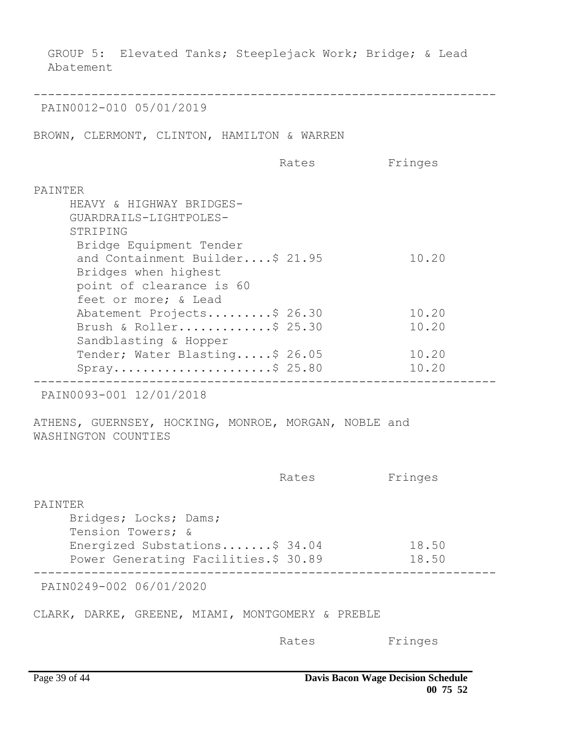| GROUP 5: Elevated Tanks; Steeplejack Work; Bridge; & Lead<br>Abatement                                                                 |       |                |
|----------------------------------------------------------------------------------------------------------------------------------------|-------|----------------|
| PAIN0012-010 05/01/2019                                                                                                                |       |                |
| BROWN, CLERMONT, CLINTON, HAMILTON & WARREN                                                                                            |       |                |
|                                                                                                                                        | Rates | Fringes        |
| PAINTER<br>HEAVY & HIGHWAY BRIDGES-<br>GUARDRAILS-LIGHTPOLES-<br>STRIPING                                                              |       |                |
| Bridge Equipment Tender<br>and Containment Builder\$ 21.95<br>Bridges when highest<br>point of clearance is 60<br>feet or more; & Lead |       | 10.20          |
| Abatement Projects\$ 26.30                                                                                                             |       | 10.20          |
| Brush & Roller\$ 25.30<br>Sandblasting & Hopper                                                                                        |       | 10.20          |
| Tender; Water Blasting\$ 26.05<br>$Spray$ \$ 25.80                                                                                     |       | 10.20<br>10.20 |
| PAIN0093-001 12/01/2018                                                                                                                |       |                |
| ATHENS, GUERNSEY, HOCKING, MONROE, MORGAN, NOBLE and<br>WASHINGTON COUNTIES                                                            |       |                |
|                                                                                                                                        | Rates | Fringes        |
| PAINTER<br>Bridges; Locks; Dams;<br>Tension Towers; &                                                                                  |       |                |
| Energized Substations\$ 34.04<br>Power Generating Facilities. \$ 30.89                                                                 |       | 18.50<br>18.50 |
| PAIN0249-002 06/01/2020                                                                                                                |       |                |
| CLARK, DARKE, GREENE, MIAMI, MONTGOMERY & PREBLE                                                                                       |       |                |
|                                                                                                                                        | Rates | Fringes        |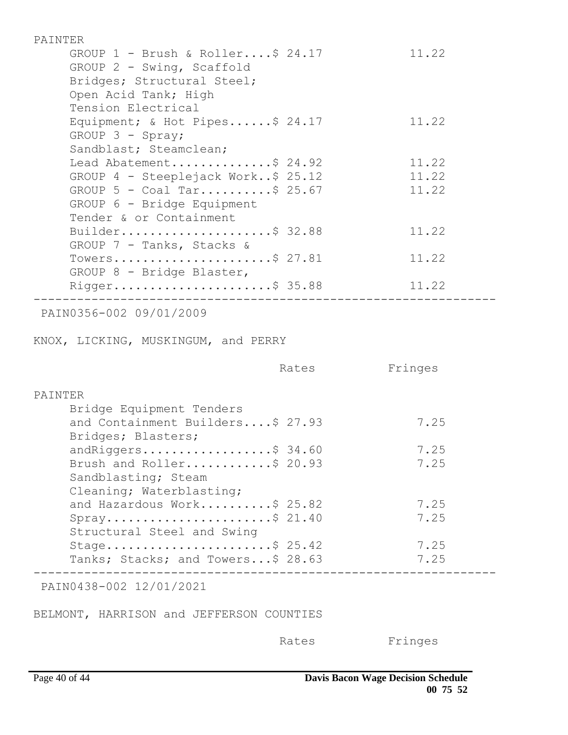| PAINTER                                               |                              |         |
|-------------------------------------------------------|------------------------------|---------|
| GROUP $1$ - Brush & Roller\$ 24.17                    |                              | 11.22   |
| GROUP 2 - Swing, Scaffold                             |                              |         |
| Bridges; Structural Steel;                            |                              |         |
| Open Acid Tank; High                                  |                              |         |
| Tension Electrical                                    |                              |         |
| Equipment; & Hot Pipes\$ 24.17                        |                              | 11.22   |
| GROUP $3 -$ Spray;                                    |                              |         |
| Sandblast; Steamclean;                                |                              |         |
| Lead Abatement\$ 24.92                                |                              | 11.22   |
| GROUP 4 - Steeplejack Work\$ 25.12                    |                              | 11.22   |
| GROUP $5 - \text{Coal Tar.} \dots \dots \$ 25.67      |                              | 11.22   |
| GROUP 6 - Bridge Equipment<br>Tender & or Containment |                              |         |
| Builder\$ 32.88                                       |                              | 11.22   |
| GROUP 7 - Tanks, Stacks &                             |                              |         |
| Towers\$ 27.81                                        |                              | 11.22   |
| GROUP 8 - Bridge Blaster,                             |                              |         |
| Rigger\$ 35.88                                        |                              | 11.22   |
|                                                       |                              |         |
| PAIN0356-002 09/01/2009                               |                              |         |
|                                                       |                              |         |
| KNOX, LICKING, MUSKINGUM, and PERRY                   |                              |         |
|                                                       | Rates                        | Fringes |
| PAINTER                                               |                              |         |
| Bridge Equipment Tenders                              |                              |         |
| and Containment Builders\$ 27.93                      |                              | 7.25    |
| Bridges; Blasters;                                    |                              |         |
| andRiggers\$ 34.60                                    |                              | 7.25    |
| Brush and Roller\$ 20.93                              |                              | 7.25    |
| Sandblasting; Steam                                   |                              |         |
| Cleaning; Waterblasting;                              |                              |         |
| and Hazardous Work\$ 25.82                            |                              | 7.25    |
| $Spray$ \$ 21.40                                      |                              | 7.25    |
| Structural Steel and Swing                            |                              |         |
| Stage\$ 25.42                                         |                              | 7.25    |
| Tanks; Stacks; and Towers\$ 28.63                     |                              | 7.25    |
| PAIN0438-002 12/01/2021                               | ---------------------------- |         |
|                                                       |                              |         |
| BELMONT, HARRISON and JEFFERSON COUNTIES              |                              |         |
|                                                       | Rates                        | Fringes |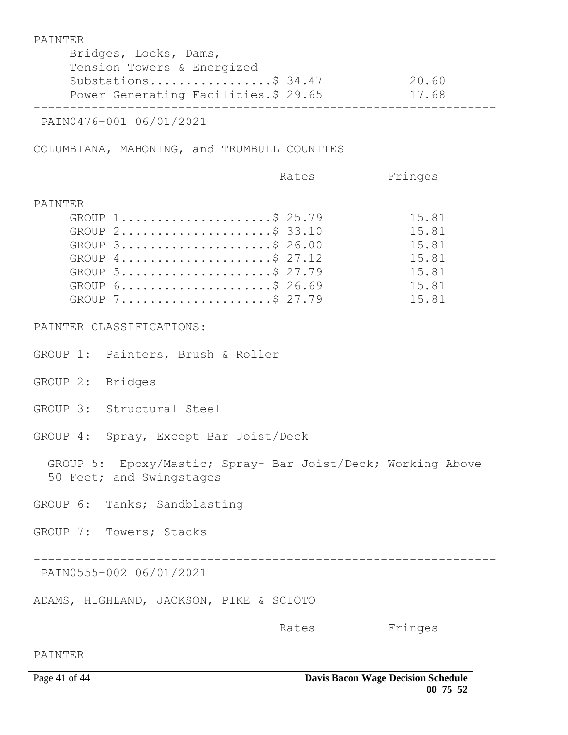### PAINTER

| Bridges, Locks, Dams,                 |       |
|---------------------------------------|-------|
| Tension Towers & Energized            |       |
| Substations\$ 34.47                   | 20.60 |
| Power Generating Facilities. \$ 29.65 | 17.68 |
|                                       |       |

PAIN0476-001 06/01/2021

COLUMBIANA, MAHONING, and TRUMBULL COUNITES

|         |                                                              | Rates | Fringes |
|---------|--------------------------------------------------------------|-------|---------|
|         |                                                              |       |         |
| PAINTER |                                                              |       |         |
|         | GROUP 1\$ 25.79                                              |       | 15.81   |
|         | GROUP 2\$ 33.10                                              |       | 15.81   |
|         | GROUP 3\$ 26.00                                              |       | 15.81   |
|         | GROUP $4 \ldots \ldots \ldots \ldots \ldots \ldots$ \$ 27.12 |       | 15.81   |
|         | GROUP 5\$ 27.79                                              |       | 15.81   |
|         | GROUP 6\$ 26.69                                              |       | 15.81   |
|         | GROUP 7\$ 27.79                                              |       | 15.81   |

PAINTER CLASSIFICATIONS:

- GROUP 1: Painters, Brush & Roller
- GROUP 2: Bridges
- GROUP 3: Structural Steel
- GROUP 4: Spray, Except Bar Joist/Deck

 GROUP 5: Epoxy/Mastic; Spray- Bar Joist/Deck; Working Above 50 Feet; and Swingstages

- GROUP 6: Tanks; Sandblasting
- GROUP 7: Towers; Stacks

----------------------------------------------------------------

PAIN0555-002 06/01/2021

ADAMS, HIGHLAND, JACKSON, PIKE & SCIOTO

Rates Fringes

PAINTER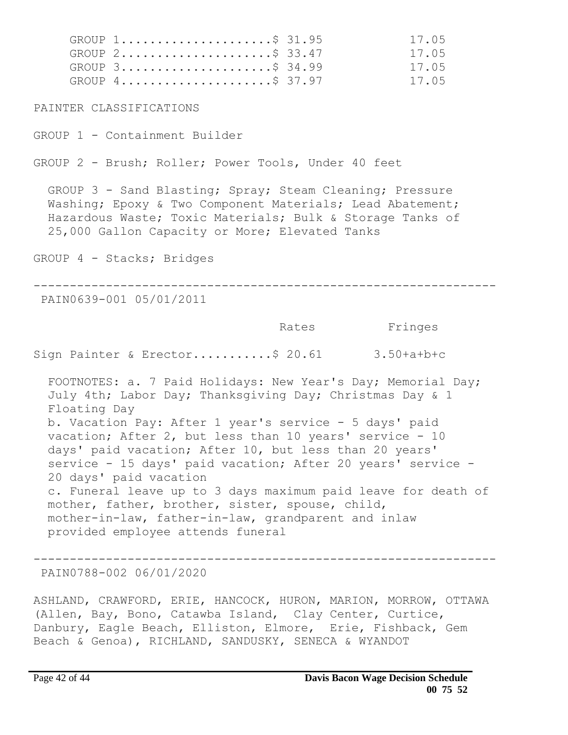| GROUP 1\$ 31.95                                                   | 17.05 |
|-------------------------------------------------------------------|-------|
| GROUP $2 \ldots \ldots \ldots \ldots \ldots \ldots \approx 33.47$ | 17 05 |
| GROUP 3\$ 34.99                                                   | 17 05 |
| GROUP 4\$ 37.97                                                   | 17 05 |

PAINTER CLASSIFICATIONS

GROUP 1 - Containment Builder

GROUP 2 - Brush; Roller; Power Tools, Under 40 feet

 GROUP 3 - Sand Blasting; Spray; Steam Cleaning; Pressure Washing; Epoxy & Two Component Materials; Lead Abatement; Hazardous Waste; Toxic Materials; Bulk & Storage Tanks of 25,000 Gallon Capacity or More; Elevated Tanks

GROUP 4 - Stacks; Bridges

----------------------------------------------------------------

PAIN0639-001 05/01/2011

Rates Fringes

----------------------------------------------------------------

Sign Painter & Erector...........\$ 20.61 3.50+a+b+c

 FOOTNOTES: a. 7 Paid Holidays: New Year's Day; Memorial Day; July 4th; Labor Day; Thanksgiving Day; Christmas Day & 1 Floating Day b. Vacation Pay: After 1 year's service - 5 days' paid vacation; After 2, but less than 10 years' service - 10 days' paid vacation; After 10, but less than 20 years' service - 15 days' paid vacation; After 20 years' service - 20 days' paid vacation c. Funeral leave up to 3 days maximum paid leave for death of mother, father, brother, sister, spouse, child, mother-in-law, father-in-law, grandparent and inlaw provided employee attends funeral

PAIN0788-002 06/01/2020

ASHLAND, CRAWFORD, ERIE, HANCOCK, HURON, MARION, MORROW, OTTAWA (Allen, Bay, Bono, Catawba Island, Clay Center, Curtice, Danbury, Eagle Beach, Elliston, Elmore, Erie, Fishback, Gem Beach & Genoa), RICHLAND, SANDUSKY, SENECA & WYANDOT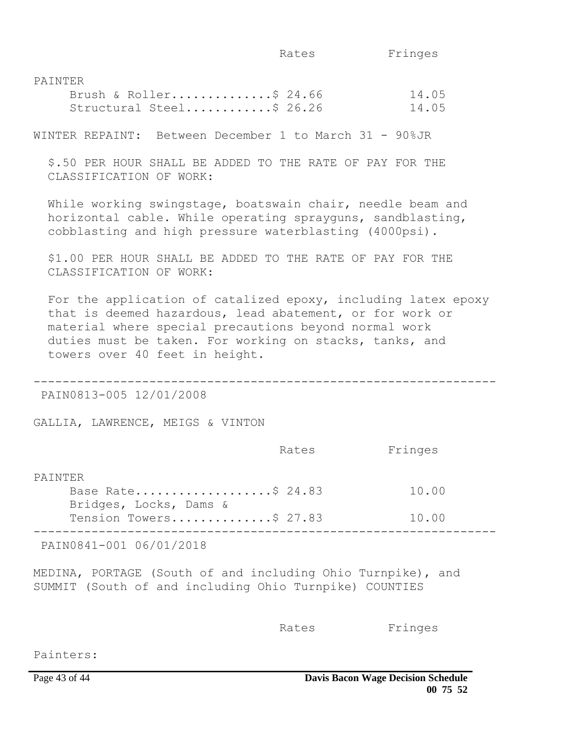Rates Fringes

PAINTER

| Brush & Roller\$ 24.66   | 14.05 |
|--------------------------|-------|
| Structural Steel\$ 26.26 | 14.05 |

WINTER REPAINT: Between December 1 to March 31 - 90%JR

 \$.50 PER HOUR SHALL BE ADDED TO THE RATE OF PAY FOR THE CLASSIFICATION OF WORK:

 While working swingstage, boatswain chair, needle beam and horizontal cable. While operating sprayguns, sandblasting, cobblasting and high pressure waterblasting (4000psi).

 \$1.00 PER HOUR SHALL BE ADDED TO THE RATE OF PAY FOR THE CLASSIFICATION OF WORK:

 For the application of catalized epoxy, including latex epoxy that is deemed hazardous, lead abatement, or for work or material where special precautions beyond normal work duties must be taken. For working on stacks, tanks, and towers over 40 feet in height.

----------------------------------------------------------------

PAIN0813-005 12/01/2008

GALLIA, LAWRENCE, MEIGS & VINTON

|                        | Rates | Fringes |  |
|------------------------|-------|---------|--|
| PAINTER                |       |         |  |
| Base Rate\$ 24.83      |       | 10.00   |  |
| Bridges, Locks, Dams & |       |         |  |
| Tension Towers\$ 27.83 |       | 10.00   |  |
|                        |       |         |  |

PAIN0841-001 06/01/2018

MEDINA, PORTAGE (South of and including Ohio Turnpike), and SUMMIT (South of and including Ohio Turnpike) COUNTIES

Painters: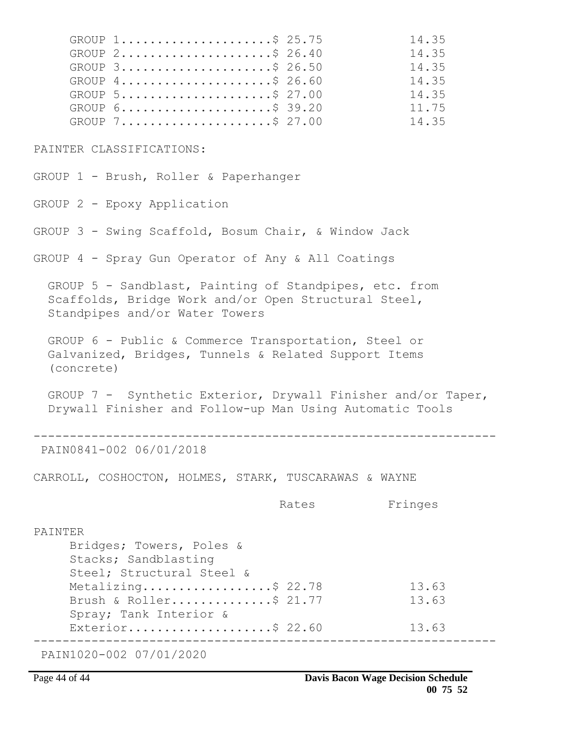| GROUP $1 \ldots \ldots \ldots \ldots \ldots \ldots$ . \$ 25.75        | 14.35 |
|-----------------------------------------------------------------------|-------|
| GROUP $2 \ldots \ldots \ldots \ldots \ldots \ldots \approx 26.40$     | 14.35 |
| GROUP $3 \ldots \ldots \ldots \ldots \ldots \ldots \} 26.50$          | 14.35 |
| GROUP $4 \ldots \ldots \ldots \ldots \ldots \ldots \text{ }$ \$ 26.60 | 14.35 |
| GROUP $5$ \$ 27.00                                                    | 14.35 |
| GROUP $6 \ldots \ldots \ldots \ldots \ldots \ldots \ldots$ \$ 39.20   | 11.75 |
| GROUP 7\$ 27.00                                                       | 14.35 |

PAINTER CLASSIFICATIONS:

GROUP 1 - Brush, Roller & Paperhanger

GROUP 2 - Epoxy Application

GROUP 3 - Swing Scaffold, Bosum Chair, & Window Jack

GROUP 4 - Spray Gun Operator of Any & All Coatings

 GROUP 5 - Sandblast, Painting of Standpipes, etc. from Scaffolds, Bridge Work and/or Open Structural Steel, Standpipes and/or Water Towers

 GROUP 6 - Public & Commerce Transportation, Steel or Galvanized, Bridges, Tunnels & Related Support Items (concrete)

 GROUP 7 - Synthetic Exterior, Drywall Finisher and/or Taper, Drywall Finisher and Follow-up Man Using Automatic Tools

----------------------------------------------------------------

PAIN0841-002 06/01/2018

CARROLL, COSHOCTON, HOLMES, STARK, TUSCARAWAS & WAYNE

Rates Fringes

#### PAINTER

| Bridges; Towers, Poles &  |       |
|---------------------------|-------|
| Stacks; Sandblasting      |       |
| Steel; Structural Steel & |       |
| Metalizing\$ 22.78        | 13.63 |
| Brush & Roller\$ 21.77    | 13.63 |
| Spray; Tank Interior &    |       |
| Exterior\$ 22.60          | 13.63 |
|                           |       |

PAIN1020-002 07/01/2020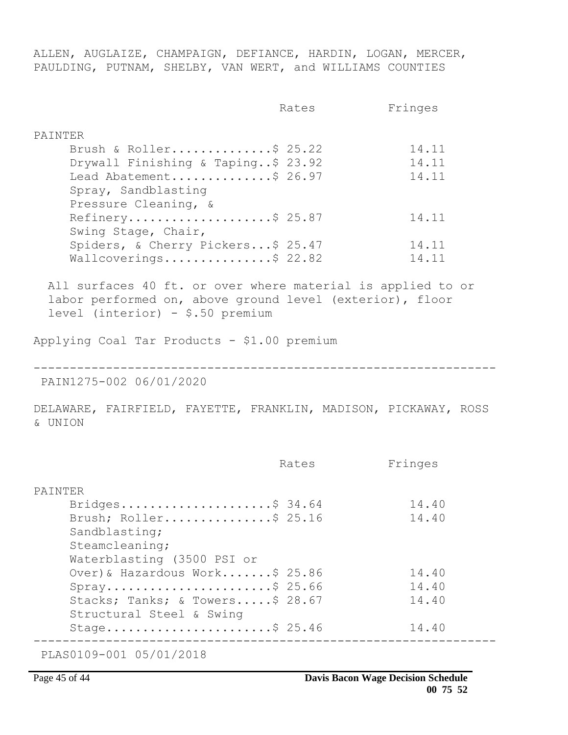ALLEN, AUGLAIZE, CHAMPAIGN, DEFIANCE, HARDIN, LOGAN, MERCER, PAULDING, PUTNAM, SHELBY, VAN WERT, and WILLIAMS COUNTIES

|                                                                            | Rates                             | Fringes |
|----------------------------------------------------------------------------|-----------------------------------|---------|
| PAINTER                                                                    |                                   |         |
| Brush & Roller\$ 25.22                                                     |                                   | 14.11   |
| Drywall Finishing & Taping\$ 23.92                                         |                                   | 14.11   |
| Lead Abatement\$ 26.97                                                     |                                   | 14.11   |
| Spray, Sandblasting                                                        |                                   |         |
| Pressure Cleaning, &                                                       |                                   |         |
| Refinery\$ 25.87                                                           |                                   | 14.11   |
| Swing Stage, Chair,                                                        |                                   |         |
| Spiders, & Cherry Pickers\$ 25.47                                          |                                   | 14.11   |
| Wallcoverings\$ 22.82                                                      |                                   | 14.11   |
| All surfaces 40 ft. or over where material is applied to or                |                                   |         |
| labor performed on, above ground level (exterior), floor                   |                                   |         |
| level (interior) - $$.50$ premium                                          |                                   |         |
|                                                                            |                                   |         |
| Applying Coal Tar Products - \$1.00 premium                                | --------------------------------- |         |
| PAIN1275-002 06/01/2020                                                    |                                   |         |
| DELAWARE, FAIRFIELD, FAYETTE, FRANKLIN, MADISON, PICKAWAY, ROSS<br>& UNION |                                   |         |
|                                                                            | Rates                             | Fringes |
|                                                                            |                                   |         |
| PAINTER                                                                    |                                   |         |
| Bridges\$ 34.64                                                            |                                   | 14.40   |
| Brush; Roller\$ 25.16                                                      |                                   | 14.40   |
| Sandblasting;                                                              |                                   |         |
| Steamcleaning;<br>Waterblasting (3500 PSI or                               |                                   |         |
| Over) & Hazardous Work\$ 25.86                                             |                                   | 14.40   |
| $Spray$ \$ 25.66                                                           |                                   | 14.40   |
| Stacks; Tanks; & Towers\$ 28.67                                            |                                   | 14.40   |
| Structural Steel & Swing                                                   |                                   |         |
| Stage\$ 25.46                                                              |                                   | 14.40   |
| ---------------------------                                                |                                   |         |

PLAS0109-001 05/01/2018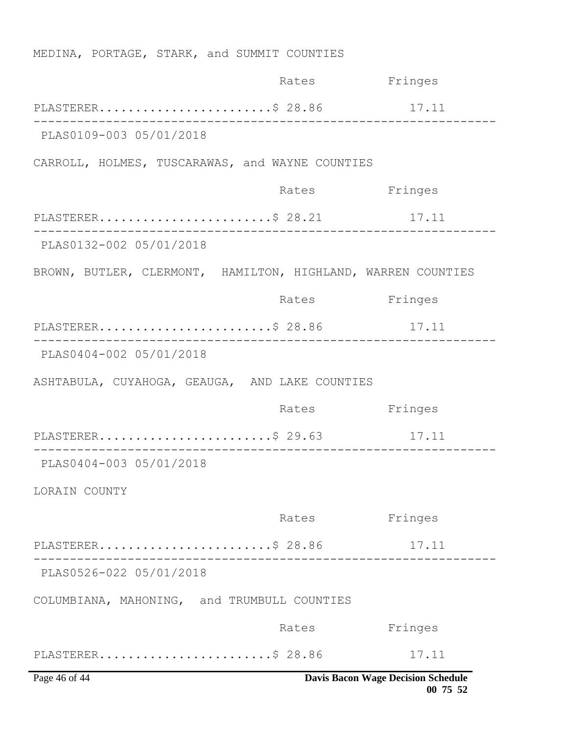| MEDINA, PORTAGE, STARK, and SUMMIT COUNTIES                  |               |         |  |
|--------------------------------------------------------------|---------------|---------|--|
|                                                              | Rates Fringes |         |  |
| PLASTERER\$ 28.86 17.11                                      |               |         |  |
| PLAS0109-003 05/01/2018                                      |               |         |  |
| CARROLL, HOLMES, TUSCARAWAS, and WAYNE COUNTIES              |               |         |  |
|                                                              | Rates         | Fringes |  |
| PLASTERER\$ 28.21 17.11                                      |               |         |  |
| PLAS0132-002 05/01/2018                                      |               |         |  |
| BROWN, BUTLER, CLERMONT, HAMILTON, HIGHLAND, WARREN COUNTIES |               |         |  |
|                                                              | Rates Fringes |         |  |
| PLASTERER\$ 28.86 17.11                                      |               |         |  |
| PLAS0404-002 05/01/2018                                      |               |         |  |
| ASHTABULA, CUYAHOGA, GEAUGA, AND LAKE COUNTIES               |               |         |  |
|                                                              | Rates Fringes |         |  |
| PLASTERER\$ 29.63<br>______________________                  |               | 17.11   |  |
| PLAS0404-003 05/01/2018                                      |               |         |  |
| LORAIN COUNTY                                                |               |         |  |
|                                                              | Rates         | Fringes |  |
| PLASTERER\$ 28.86                                            |               | 17.11   |  |
| PLAS0526-022 05/01/2018                                      |               |         |  |
| COLUMBIANA, MAHONING, and TRUMBULL COUNTIES                  |               |         |  |
|                                                              | Rates         | Fringes |  |
| PLASTERER\$ 28.86                                            |               | 17.11   |  |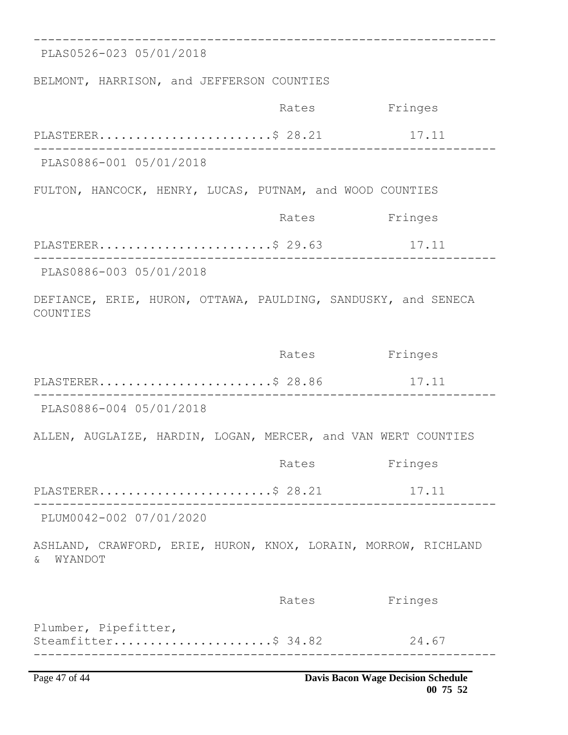---------------------------------------------------------------- PLAS0526-023 05/01/2018 BELMONT, HARRISON, and JEFFERSON COUNTIES Rates Fringes PLASTERER........................\$ 28.21 17.11 ---------------------------------------------------------------- PLAS0886-001 05/01/2018 FULTON, HANCOCK, HENRY, LUCAS, PUTNAM, and WOOD COUNTIES Rates Fringes PLASTERER..............................\$ 29.63 17.11 ---------------------------------------------------------------- PLAS0886-003 05/01/2018 DEFIANCE, ERIE, HURON, OTTAWA, PAULDING, SANDUSKY, and SENECA COUNTIES Rates Fringes PLASTERER.............................\$ 28.86 17.11 ---------------------------------------------------------------- PLAS0886-004 05/01/2018 ALLEN, AUGLAIZE, HARDIN, LOGAN, MERCER, and VAN WERT COUNTIES Rates Fringes PLASTERER...............................\$ 28.21 17.11 ---------------------------------------------------------------- PLUM0042-002 07/01/2020 ASHLAND, CRAWFORD, ERIE, HURON, KNOX, LORAIN, MORROW, RICHLAND & WYANDOT Rates Fringes Plumber, Pipefitter, Steamfitter..........................\$ 34.82 24.67 ----------------------------------------------------------------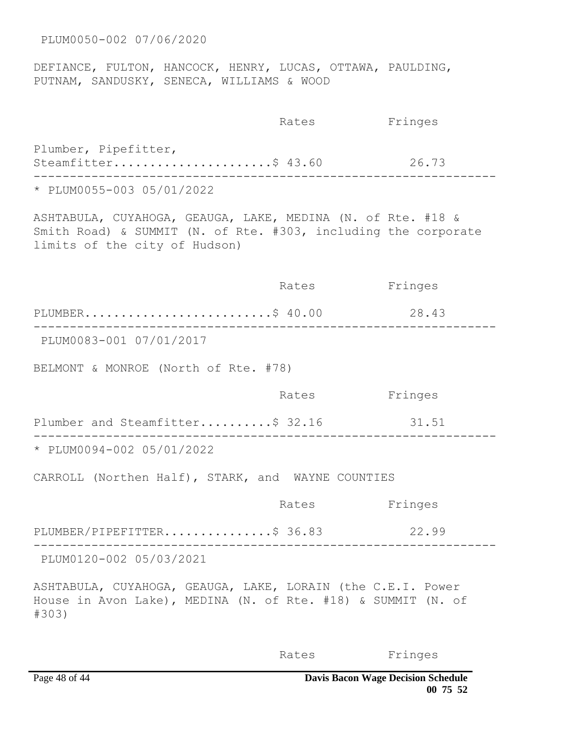PLUM0050-002 07/06/2020

DEFIANCE, FULTON, HANCOCK, HENRY, LUCAS, OTTAWA, PAULDING, PUTNAM, SANDUSKY, SENECA, WILLIAMS & WOOD

 Rates Fringes Plumber, Pipefitter, Steamfitter...........................\$ 43.60 26.73 ---------------------------------------------------------------- \* PLUM0055-003 05/01/2022 ASHTABULA, CUYAHOGA, GEAUGA, LAKE, MEDINA (N. of Rte. #18 & Smith Road) & SUMMIT (N. of Rte. #303, including the corporate limits of the city of Hudson) Rates Fringes PLUMBER...............................\$ 40.00 28.43 ---------------------------------------------------------------- PLUM0083-001 07/01/2017 BELMONT & MONROE (North of Rte. #78) Rates Fringes Plumber and Steamfitter..........\$ 32.16 31.51 ---------------------------------------------------------------- \* PLUM0094-002 05/01/2022 CARROLL (Northen Half), STARK, and WAYNE COUNTIES Rates Fringes PLUMBER/PIPEFITTER................\$ 36.83 22.99 ---------------------------------------------------------------- PLUM0120-002 05/03/2021 ASHTABULA, CUYAHOGA, GEAUGA, LAKE, LORAIN (the C.E.I. Power House in Avon Lake), MEDINA (N. of Rte. #18) & SUMMIT (N. of #303)

Rates Fringes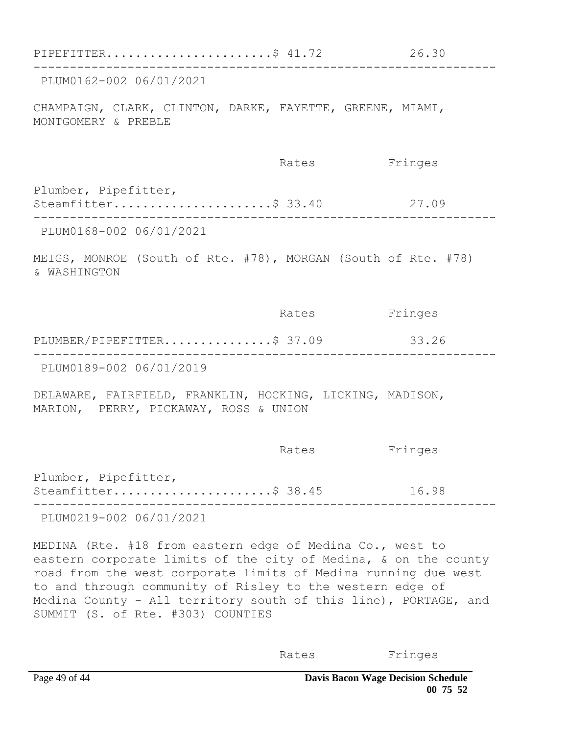PIPEFITTER..........................\$ 41.72 26.30 ---------------------------------------------------------------- PLUM0162-002 06/01/2021 CHAMPAIGN, CLARK, CLINTON, DARKE, FAYETTE, GREENE, MIAMI, MONTGOMERY & PREBLE Rates Fringes Plumber, Pipefitter, Steamfitter...........................\$ 33.40 27.09 ---------------------------------------------------------------- PLUM0168-002 06/01/2021 MEIGS, MONROE (South of Rte. #78), MORGAN (South of Rte. #78) & WASHINGTON Rates Fringes PLUMBER/PIPEFITTER.................\$ 37.09 33.26 ---------------------------------------------------------------- PLUM0189-002 06/01/2019 DELAWARE, FAIRFIELD, FRANKLIN, HOCKING, LICKING, MADISON, MARION, PERRY, PICKAWAY, ROSS & UNION Rates Fringes Plumber, Pipefitter, Steamfitter..........................\$ 38.45 16.98 ---------------------------------------------------------------- PLUM0219-002 06/01/2021 MEDINA (Rte. #18 from eastern edge of Medina Co., west to eastern corporate limits of the city of Medina, & on the county road from the west corporate limits of Medina running due west to and through community of Risley to the western edge of

Medina County - All territory south of this line), PORTAGE, and

SUMMIT (S. of Rte. #303) COUNTIES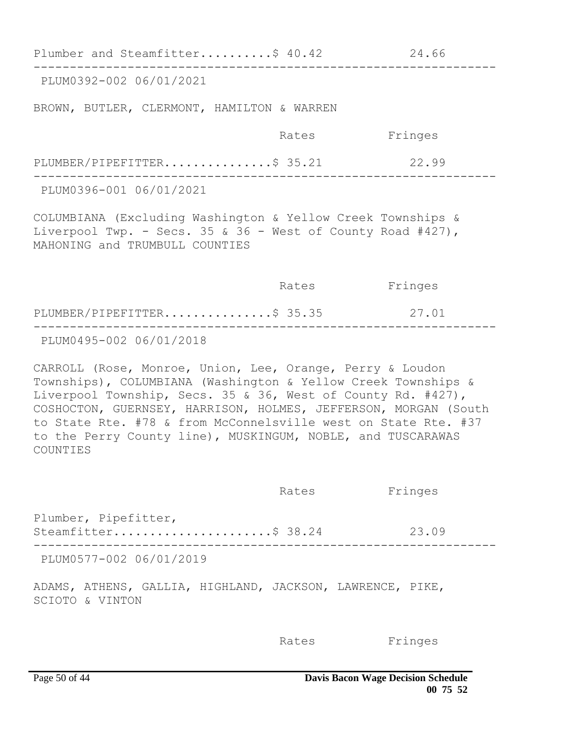Plumber and Steamfitter..........\$ 40.42 24.66

PLUM0392-002 06/01/2021

BROWN, BUTLER, CLERMONT, HAMILTON & WARREN

Rates Fringes

Rates Fringes

PLUMBER/PIPEFITTER................\$ 35.21 22.99

----------------------------------------------------------------

----------------------------------------------------------------

PLUM0396-001 06/01/2021

COLUMBIANA (Excluding Washington & Yellow Creek Townships & Liverpool Twp. - Secs. 35 & 36 - West of County Road #427), MAHONING and TRUMBULL COUNTIES

PLUMBER/PIPEFITTER................\$ 35.35 27.01 ---------------------------------------------------------------- PLUM0495-002 06/01/2018

CARROLL (Rose, Monroe, Union, Lee, Orange, Perry & Loudon Townships), COLUMBIANA (Washington & Yellow Creek Townships & Liverpool Township, Secs. 35 & 36, West of County Rd. #427), COSHOCTON, GUERNSEY, HARRISON, HOLMES, JEFFERSON, MORGAN (South to State Rte. #78 & from McConnelsville west on State Rte. #37 to the Perry County line), MUSKINGUM, NOBLE, and TUSCARAWAS COUNTIES

Rates Fringes Plumber, Pipefitter, Steamfitter..........................\$ 38.24 23.09 ---------------------------------------------------------------- PLUM0577-002 06/01/2019

ADAMS, ATHENS, GALLIA, HIGHLAND, JACKSON, LAWRENCE, PIKE, SCIOTO & VINTON

Rates Fringes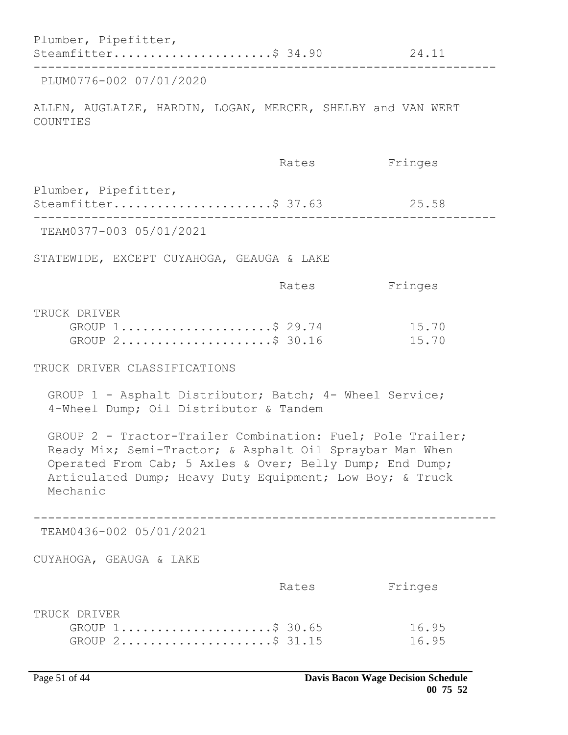| Plumber, Pipefitter,<br>Steamfitter\$ 34.90 24.11                                                                                                                                                                                                          |       |                |
|------------------------------------------------------------------------------------------------------------------------------------------------------------------------------------------------------------------------------------------------------------|-------|----------------|
| PLUM0776-002 07/01/2020                                                                                                                                                                                                                                    |       |                |
| ALLEN, AUGLAIZE, HARDIN, LOGAN, MERCER, SHELBY and VAN WERT<br>COUNTIES                                                                                                                                                                                    |       |                |
|                                                                                                                                                                                                                                                            | Rates | Fringes        |
| Plumber, Pipefitter,<br>Steamfitter\$ 37.63 25.58                                                                                                                                                                                                          |       |                |
| TEAM0377-003 05/01/2021                                                                                                                                                                                                                                    |       |                |
| STATEWIDE, EXCEPT CUYAHOGA, GEAUGA & LAKE                                                                                                                                                                                                                  |       |                |
|                                                                                                                                                                                                                                                            | Rates | Fringes        |
| TRUCK DRIVER<br>GROUP 1\$ 29.74 15.70<br>GROUP 2\$ 30.16                                                                                                                                                                                                   |       | 15.70          |
| TRUCK DRIVER CLASSIFICATIONS                                                                                                                                                                                                                               |       |                |
| GROUP 1 - Asphalt Distributor; Batch; 4- Wheel Service;<br>4-Wheel Dump; Oil Distributor & Tandem                                                                                                                                                          |       |                |
| GROUP 2 - Tractor-Trailer Combination: Fuel; Pole Trailer;<br>Ready Mix; Semi-Tractor; & Asphalt Oil Spraybar Man When<br>Operated From Cab; 5 Axles & Over; Belly Dump; End Dump;<br>Articulated Dump; Heavy Duty Equipment; Low Boy; & Truck<br>Mechanic |       |                |
| TEAM0436-002 05/01/2021                                                                                                                                                                                                                                    |       |                |
| CUYAHOGA, GEAUGA & LAKE                                                                                                                                                                                                                                    |       |                |
|                                                                                                                                                                                                                                                            | Rates | Fringes        |
| TRUCK DRIVER<br>GROUP 1\$ 30.65<br>GROUP 2\$ 31.15                                                                                                                                                                                                         |       | 16.95<br>16.95 |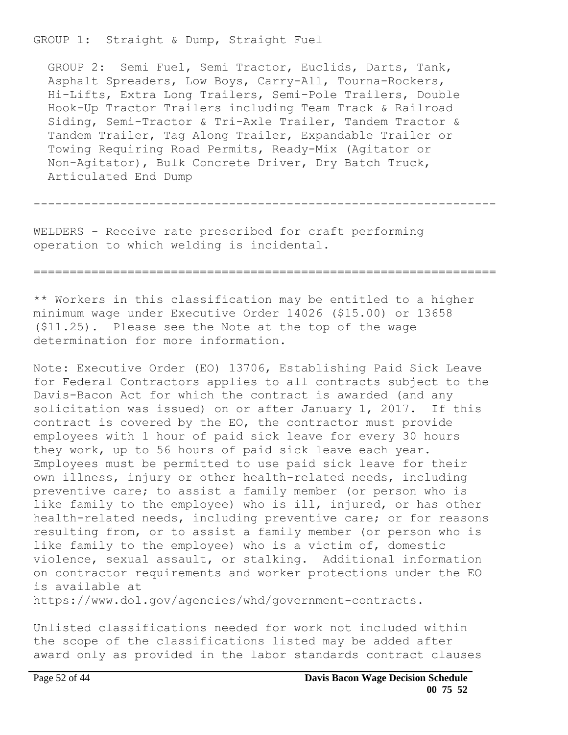GROUP 1: Straight & Dump, Straight Fuel

 GROUP 2: Semi Fuel, Semi Tractor, Euclids, Darts, Tank, Asphalt Spreaders, Low Boys, Carry-All, Tourna-Rockers, Hi-Lifts, Extra Long Trailers, Semi-Pole Trailers, Double Hook-Up Tractor Trailers including Team Track & Railroad Siding, Semi-Tractor & Tri-Axle Trailer, Tandem Tractor & Tandem Trailer, Tag Along Trailer, Expandable Trailer or Towing Requiring Road Permits, Ready-Mix (Agitator or Non-Agitator), Bulk Concrete Driver, Dry Batch Truck, Articulated End Dump

WELDERS - Receive rate prescribed for craft performing operation to which welding is incidental.

================================================================

----------------------------------------------------------------

\*\* Workers in this classification may be entitled to a higher minimum wage under Executive Order 14026 (\$15.00) or 13658 (\$11.25). Please see the Note at the top of the wage determination for more information.

Note: Executive Order (EO) 13706, Establishing Paid Sick Leave for Federal Contractors applies to all contracts subject to the Davis-Bacon Act for which the contract is awarded (and any solicitation was issued) on or after January 1, 2017. If this contract is covered by the EO, the contractor must provide employees with 1 hour of paid sick leave for every 30 hours they work, up to 56 hours of paid sick leave each year. Employees must be permitted to use paid sick leave for their own illness, injury or other health-related needs, including preventive care; to assist a family member (or person who is like family to the employee) who is ill, injured, or has other health-related needs, including preventive care; or for reasons resulting from, or to assist a family member (or person who is like family to the employee) who is a victim of, domestic violence, sexual assault, or stalking. Additional information on contractor requirements and worker protections under the EO is available at

https://www.dol.gov/agencies/whd/government-contracts.

Unlisted classifications needed for work not included within the scope of the classifications listed may be added after award only as provided in the labor standards contract clauses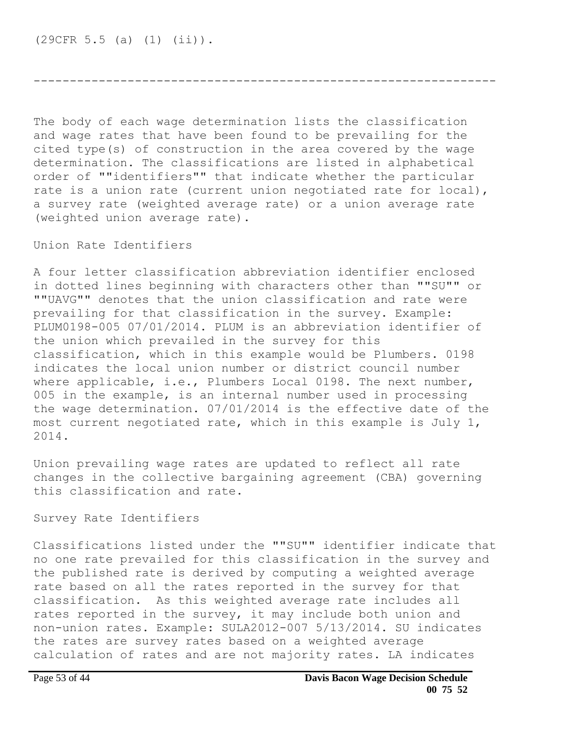(29CFR 5.5 (a) (1) (ii)).

The body of each wage determination lists the classification and wage rates that have been found to be prevailing for the cited type(s) of construction in the area covered by the wage determination. The classifications are listed in alphabetical order of ""identifiers"" that indicate whether the particular rate is a union rate (current union negotiated rate for local), a survey rate (weighted average rate) or a union average rate (weighted union average rate).

----------------------------------------------------------------

## Union Rate Identifiers

A four letter classification abbreviation identifier enclosed in dotted lines beginning with characters other than ""SU"" or ""UAVG"" denotes that the union classification and rate were prevailing for that classification in the survey. Example: PLUM0198-005 07/01/2014. PLUM is an abbreviation identifier of the union which prevailed in the survey for this classification, which in this example would be Plumbers. 0198 indicates the local union number or district council number where applicable, i.e., Plumbers Local 0198. The next number, 005 in the example, is an internal number used in processing the wage determination. 07/01/2014 is the effective date of the most current negotiated rate, which in this example is July 1, 2014.

Union prevailing wage rates are updated to reflect all rate changes in the collective bargaining agreement (CBA) governing this classification and rate.

## Survey Rate Identifiers

Classifications listed under the ""SU"" identifier indicate that no one rate prevailed for this classification in the survey and the published rate is derived by computing a weighted average rate based on all the rates reported in the survey for that classification. As this weighted average rate includes all rates reported in the survey, it may include both union and non-union rates. Example: SULA2012-007 5/13/2014. SU indicates the rates are survey rates based on a weighted average calculation of rates and are not majority rates. LA indicates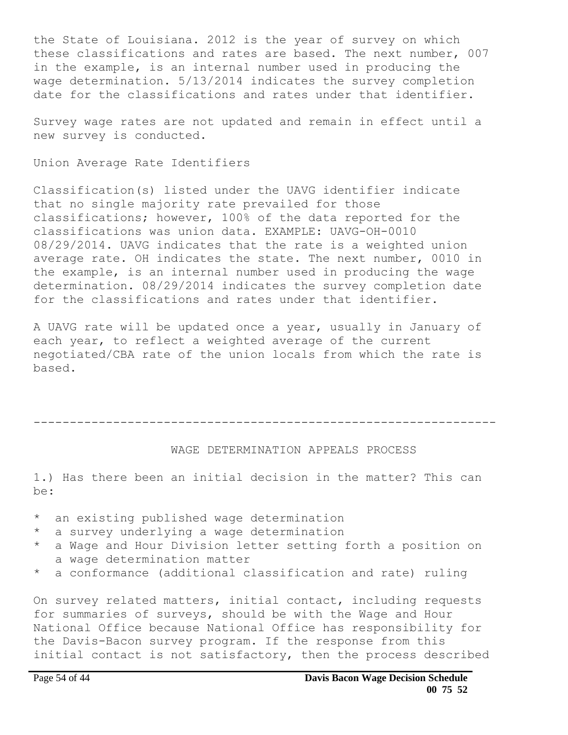the State of Louisiana. 2012 is the year of survey on which these classifications and rates are based. The next number, 007 in the example, is an internal number used in producing the wage determination. 5/13/2014 indicates the survey completion date for the classifications and rates under that identifier.

Survey wage rates are not updated and remain in effect until a new survey is conducted.

Union Average Rate Identifiers

Classification(s) listed under the UAVG identifier indicate that no single majority rate prevailed for those classifications; however, 100% of the data reported for the classifications was union data. EXAMPLE: UAVG-OH-0010 08/29/2014. UAVG indicates that the rate is a weighted union average rate. OH indicates the state. The next number, 0010 in the example, is an internal number used in producing the wage determination. 08/29/2014 indicates the survey completion date for the classifications and rates under that identifier.

A UAVG rate will be updated once a year, usually in January of each year, to reflect a weighted average of the current negotiated/CBA rate of the union locals from which the rate is based.

----------------------------------------------------------------

## WAGE DETERMINATION APPEALS PROCESS

1.) Has there been an initial decision in the matter? This can be:

- \* an existing published wage determination
- \* a survey underlying a wage determination
- \* a Wage and Hour Division letter setting forth a position on a wage determination matter
- \* a conformance (additional classification and rate) ruling

On survey related matters, initial contact, including requests for summaries of surveys, should be with the Wage and Hour National Office because National Office has responsibility for the Davis-Bacon survey program. If the response from this initial contact is not satisfactory, then the process described